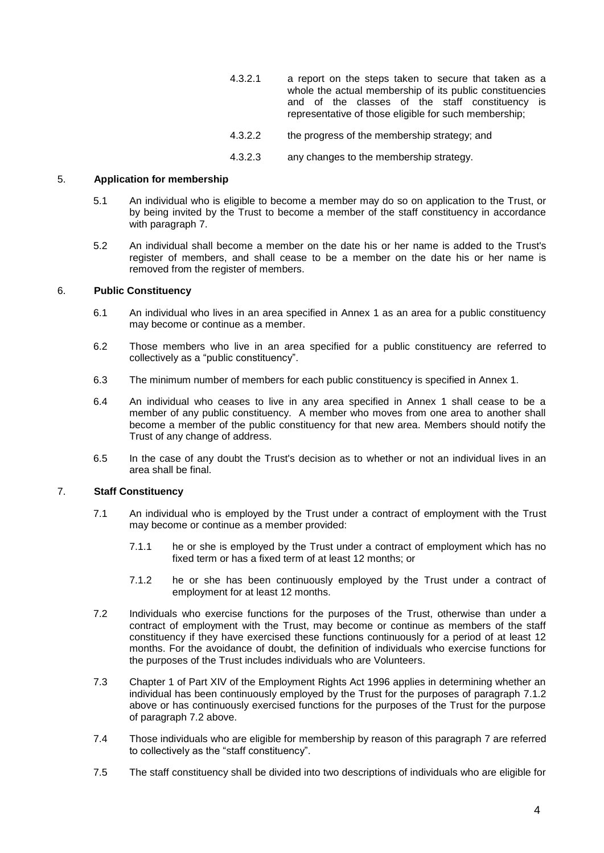- 4.3.2.1 a report on the steps taken to secure that taken as a whole the actual membership of its public constituencies and of the classes of the staff constituency is representative of those eligible for such membership;
- 4.3.2.2 the progress of the membership strategy; and
- 4.3.2.3 any changes to the membership strategy.

# 5. **Application for membership**

- 5.1 An individual who is eligible to become a member may do so on application to the Trust, or by being invited by the Trust to become a member of the staff constituency in accordance with paragraph [7.](#page-8-0)
- 5.2 An individual shall become a member on the date his or her name is added to the Trust's register of members, and shall cease to be a member on the date his or her name is removed from the register of members.

# 6. **Public Constituency**

- 6.1 An individual who lives in an area specified in Annex 1 as an area for a public constituency may become or continue as a member.
- 6.2 Those members who live in an area specified for a public constituency are referred to collectively as a "public constituency".
- 6.3 The minimum number of members for each public constituency is specified in Annex 1.
- 6.4 An individual who ceases to live in any area specified in Annex 1 shall cease to be a member of any public constituency. A member who moves from one area to another shall become a member of the public constituency for that new area. Members should notify the Trust of any change of address.
- 6.5 In the case of any doubt the Trust's decision as to whether or not an individual lives in an area shall be final.

# <span id="page-8-0"></span>7. **Staff Constituency**

- 7.1 An individual who is employed by the Trust under a contract of employment with the Trust may become or continue as a member provided:
	- 7.1.1 he or she is employed by the Trust under a contract of employment which has no fixed term or has a fixed term of at least 12 months; or
	- 7.1.2 he or she has been continuously employed by the Trust under a contract of employment for at least 12 months.
- <span id="page-8-2"></span><span id="page-8-1"></span>7.2 Individuals who exercise functions for the purposes of the Trust, otherwise than under a contract of employment with the Trust, may become or continue as members of the staff constituency if they have exercised these functions continuously for a period of at least 12 months. For the avoidance of doubt, the definition of individuals who exercise functions for the purposes of the Trust includes individuals who are Volunteers.
- 7.3 Chapter 1 of Part XIV of the Employment Rights Act 1996 applies in determining whether an individual has been continuously employed by the Trust for the purposes of paragraph [7.1.2](#page-8-1) above or has continuously exercised functions for the purposes of the Trust for the purpose of paragraph [7.2](#page-8-2) above.
- 7.4 Those individuals who are eligible for membership by reason of this paragraph [7](#page-8-0) are referred to collectively as the "staff constituency".
- 7.5 The staff constituency shall be divided into two descriptions of individuals who are eligible for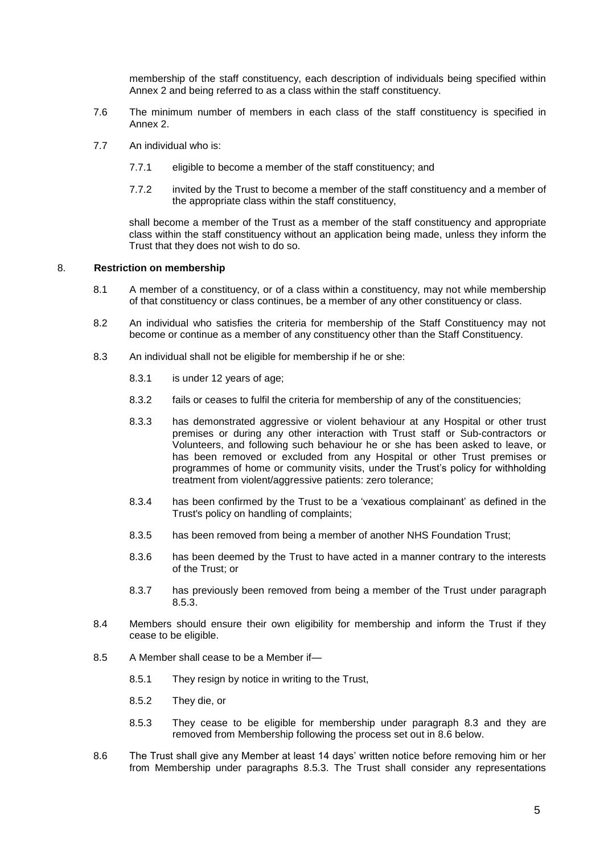membership of the staff constituency, each description of individuals being specified within Annex 2 and being referred to as a class within the staff constituency.

- 7.6 The minimum number of members in each class of the staff constituency is specified in Annex 2.
- 7.7 An individual who is:
	- 7.7.1 eligible to become a member of the staff constituency; and
	- 7.7.2 invited by the Trust to become a member of the staff constituency and a member of the appropriate class within the staff constituency,

shall become a member of the Trust as a member of the staff constituency and appropriate class within the staff constituency without an application being made, unless they inform the Trust that they does not wish to do so.

# 8. **Restriction on membership**

- 8.1 A member of a constituency, or of a class within a constituency, may not while membership of that constituency or class continues, be a member of any other constituency or class.
- 8.2 An individual who satisfies the criteria for membership of the Staff Constituency may not become or continue as a member of any constituency other than the Staff Constituency.
- <span id="page-9-1"></span>8.3 An individual shall not be eligible for membership if he or she:
	- 8.3.1 is under 12 years of age;
	- 8.3.2 fails or ceases to fulfil the criteria for membership of any of the constituencies;
	- 8.3.3 has demonstrated aggressive or violent behaviour at any Hospital or other trust premises or during any other interaction with Trust staff or Sub-contractors or Volunteers, and following such behaviour he or she has been asked to leave, or has been removed or excluded from any Hospital or other Trust premises or programmes of home or community visits, under the Trust's policy for withholding treatment from violent/aggressive patients: zero tolerance;
	- 8.3.4 has been confirmed by the Trust to be a 'vexatious complainant' as defined in the Trust's policy on handling of complaints;
	- 8.3.5 has been removed from being a member of another NHS Foundation Trust;
	- 8.3.6 has been deemed by the Trust to have acted in a manner contrary to the interests of the Trust; or
	- 8.3.7 has previously been removed from being a member of the Trust under paragraph [8.5.3.](#page-9-0)
- 8.4 Members should ensure their own eligibility for membership and inform the Trust if they cease to be eligible.
- 8.5 A Member shall cease to be a Member if—
	- 8.5.1 They resign by notice in writing to the Trust,
	- 8.5.2 They die, or
	- 8.5.3 They cease to be eligible for membership under paragraph [8.3](#page-9-1) and they are removed from Membership following the process set out in [8.6](#page-9-2) below.
- <span id="page-9-2"></span><span id="page-9-0"></span>8.6 The Trust shall give any Member at least 14 days' written notice before removing him or her from Membership under paragraphs [8.5.3.](#page-9-0) The Trust shall consider any representations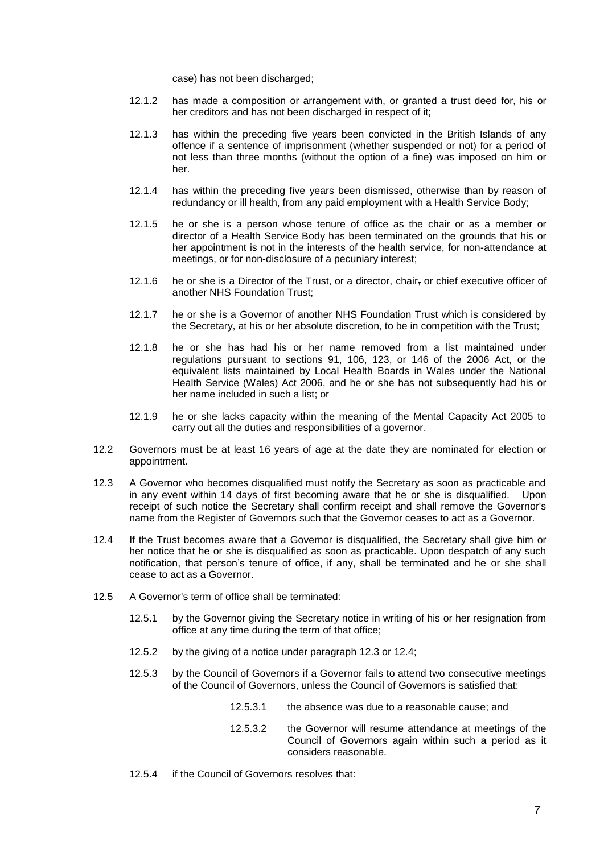case) has not been discharged;

- 12.1.2 has made a composition or arrangement with, or granted a trust deed for, his or her creditors and has not been discharged in respect of it;
- 12.1.3 has within the preceding five years been convicted in the British Islands of any offence if a sentence of imprisonment (whether suspended or not) for a period of not less than three months (without the option of a fine) was imposed on him or her.
- 12.1.4 has within the preceding five years been dismissed, otherwise than by reason of redundancy or ill health, from any paid employment with a Health Service Body;
- 12.1.5 he or she is a person whose tenure of office as the chair or as a member or director of a Health Service Body has been terminated on the grounds that his or her appointment is not in the interests of the health service, for non-attendance at meetings, or for non-disclosure of a pecuniary interest;
- 12.1.6 he or she is a Director of the Trust, or a director, chair, or chief executive officer of another NHS Foundation Trust;
- 12.1.7 he or she is a Governor of another NHS Foundation Trust which is considered by the Secretary, at his or her absolute discretion, to be in competition with the Trust;
- 12.1.8 he or she has had his or her name removed from a list maintained under regulations pursuant to sections 91, 106, 123, or 146 of the 2006 Act, or the equivalent lists maintained by Local Health Boards in Wales under the National Health Service (Wales) Act 2006, and he or she has not subsequently had his or her name included in such a list; or
- 12.1.9 he or she lacks capacity within the meaning of the Mental Capacity Act 2005 to carry out all the duties and responsibilities of a governor.
- 12.2 Governors must be at least 16 years of age at the date they are nominated for election or appointment.
- <span id="page-11-0"></span>12.3 A Governor who becomes disqualified must notify the Secretary as soon as practicable and in any event within 14 days of first becoming aware that he or she is disqualified. Upon receipt of such notice the Secretary shall confirm receipt and shall remove the Governor's name from the Register of Governors such that the Governor ceases to act as a Governor.
- <span id="page-11-1"></span>12.4 If the Trust becomes aware that a Governor is disqualified, the Secretary shall give him or her notice that he or she is disqualified as soon as practicable. Upon despatch of any such notification, that person's tenure of office, if any, shall be terminated and he or she shall cease to act as a Governor.
- <span id="page-11-2"></span>12.5 A Governor's term of office shall be terminated:
	- 12.5.1 by the Governor giving the Secretary notice in writing of his or her resignation from office at any time during the term of that office;
	- 12.5.2 by the giving of a notice under paragraph [12.3](#page-11-0) or [12.4;](#page-11-1)
	- 12.5.3 by the Council of Governors if a Governor fails to attend two consecutive meetings of the Council of Governors, unless the Council of Governors is satisfied that:
		- 12.5.3.1 the absence was due to a reasonable cause; and
		- 12.5.3.2 the Governor will resume attendance at meetings of the Council of Governors again within such a period as it considers reasonable.
	- 12.5.4 if the Council of Governors resolves that: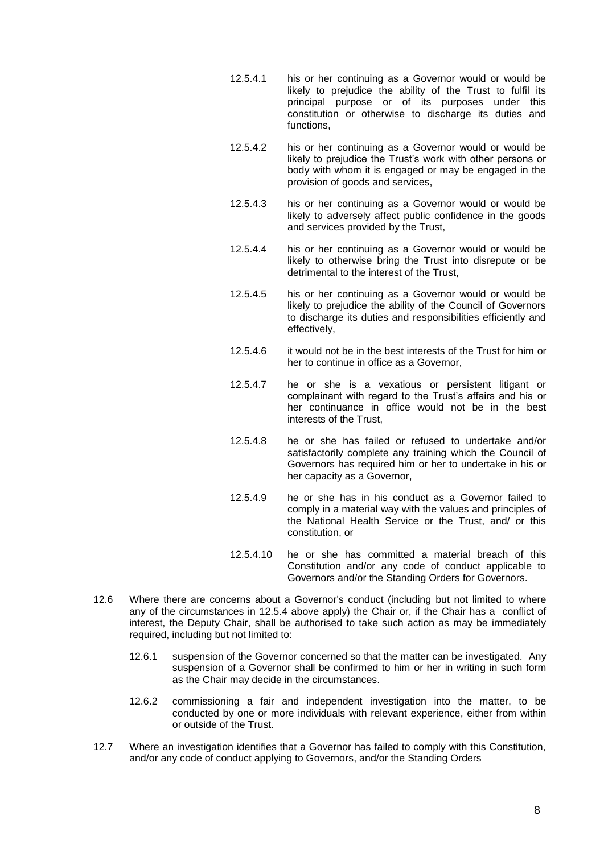- 12.5.4.1 his or her continuing as a Governor would or would be likely to prejudice the ability of the Trust to fulfil its principal purpose or of its purposes under this constitution or otherwise to discharge its duties and functions,
- 12.5.4.2 his or her continuing as a Governor would or would be likely to prejudice the Trust's work with other persons or body with whom it is engaged or may be engaged in the provision of goods and services,
- 12.5.4.3 his or her continuing as a Governor would or would be likely to adversely affect public confidence in the goods and services provided by the Trust,
- 12.5.4.4 his or her continuing as a Governor would or would be likely to otherwise bring the Trust into disrepute or be detrimental to the interest of the Trust,
- 12.5.4.5 his or her continuing as a Governor would or would be likely to prejudice the ability of the Council of Governors to discharge its duties and responsibilities efficiently and effectively,
- 12.5.4.6 it would not be in the best interests of the Trust for him or her to continue in office as a Governor,
- 12.5.4.7 he or she is a vexatious or persistent litigant or complainant with regard to the Trust's affairs and his or her continuance in office would not be in the best interests of the Trust,
- 12.5.4.8 he or she has failed or refused to undertake and/or satisfactorily complete any training which the Council of Governors has required him or her to undertake in his or her capacity as a Governor,
- 12.5.4.9 he or she has in his conduct as a Governor failed to comply in a material way with the values and principles of the National Health Service or the Trust, and/ or this constitution, or
- 12.5.4.10 he or she has committed a material breach of this Constitution and/or any code of conduct applicable to Governors and/or the Standing Orders for Governors.
- 12.6 Where there are concerns about a Governor's conduct (including but not limited to where any of the circumstances in [12.5.4](#page-11-2) above apply) the Chair or, if the Chair has a conflict of interest, the Deputy Chair, shall be authorised to take such action as may be immediately required, including but not limited to:
	- 12.6.1 suspension of the Governor concerned so that the matter can be investigated. Any suspension of a Governor shall be confirmed to him or her in writing in such form as the Chair may decide in the circumstances.
	- 12.6.2 commissioning a fair and independent investigation into the matter, to be conducted by one or more individuals with relevant experience, either from within or outside of the Trust.
- 12.7 Where an investigation identifies that a Governor has failed to comply with this Constitution, and/or any code of conduct applying to Governors, and/or the Standing Orders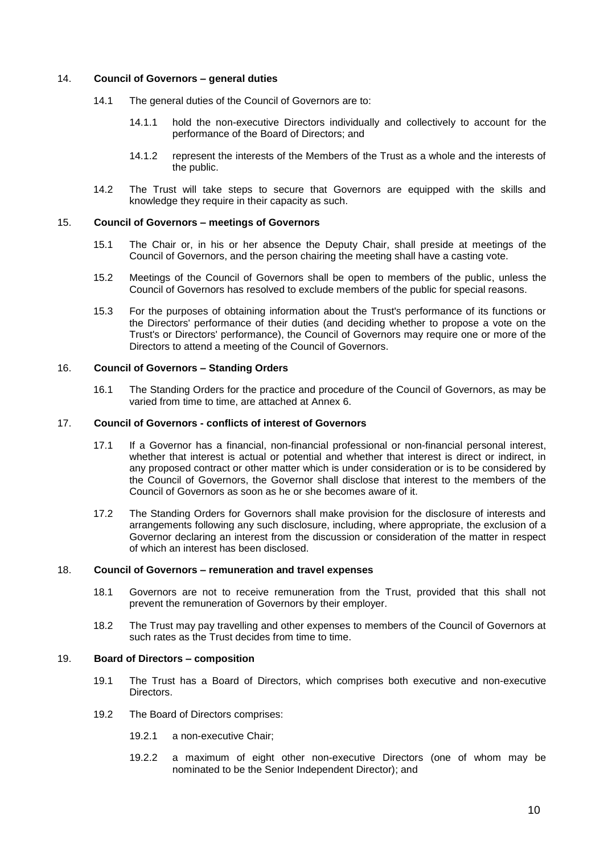# 14. **Council of Governors – general duties**

- 14.1 The general duties of the Council of Governors are to:
	- 14.1.1 hold the non-executive Directors individually and collectively to account for the performance of the Board of Directors; and
	- 14.1.2 represent the interests of the Members of the Trust as a whole and the interests of the public.
- 14.2 The Trust will take steps to secure that Governors are equipped with the skills and knowledge they require in their capacity as such.

# 15. **Council of Governors – meetings of Governors**

- 15.1 The Chair or, in his or her absence the Deputy Chair, shall preside at meetings of the Council of Governors, and the person chairing the meeting shall have a casting vote.
- 15.2 Meetings of the Council of Governors shall be open to members of the public, unless the Council of Governors has resolved to exclude members of the public for special reasons.
- 15.3 For the purposes of obtaining information about the Trust's performance of its functions or the Directors' performance of their duties (and deciding whether to propose a vote on the Trust's or Directors' performance), the Council of Governors may require one or more of the Directors to attend a meeting of the Council of Governors.

# 16. **Council of Governors – Standing Orders**

16.1 The Standing Orders for the practice and procedure of the Council of Governors, as may be varied from time to time, are attached at Annex 6.

# 17. **Council of Governors - conflicts of interest of Governors**

- 17.1 If a Governor has a financial, non-financial professional or non-financial personal interest, whether that interest is actual or potential and whether that interest is direct or indirect, in any proposed contract or other matter which is under consideration or is to be considered by the Council of Governors, the Governor shall disclose that interest to the members of the Council of Governors as soon as he or she becomes aware of it.
- 17.2 The Standing Orders for Governors shall make provision for the disclosure of interests and arrangements following any such disclosure, including, where appropriate, the exclusion of a Governor declaring an interest from the discussion or consideration of the matter in respect of which an interest has been disclosed.

# 18. **Council of Governors – remuneration and travel expenses**

- 18.1 Governors are not to receive remuneration from the Trust, provided that this shall not prevent the remuneration of Governors by their employer.
- 18.2 The Trust may pay travelling and other expenses to members of the Council of Governors at such rates as the Trust decides from time to time.

# 19. **Board of Directors – composition**

- 19.1 The Trust has a Board of Directors, which comprises both executive and non-executive Directors.
- 19.2 The Board of Directors comprises:
	- 19.2.1 a non-executive Chair;
	- 19.2.2 a maximum of eight other non-executive Directors (one of whom may be nominated to be the Senior Independent Director); and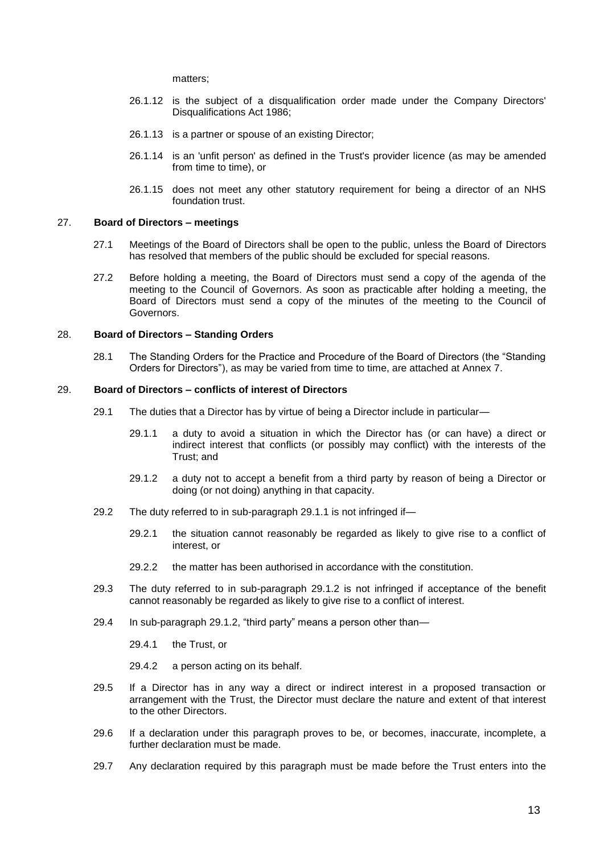matters;

- 26.1.12 is the subject of a disqualification order made under the Company Directors' Disqualifications Act 1986;
- 26.1.13 is a partner or spouse of an existing Director;
- 26.1.14 is an 'unfit person' as defined in the Trust's provider licence (as may be amended from time to time), or
- 26.1.15 does not meet any other statutory requirement for being a director of an NHS foundation trust.

#### 27. **Board of Directors – meetings**

- 27.1 Meetings of the Board of Directors shall be open to the public, unless the Board of Directors has resolved that members of the public should be excluded for special reasons.
- 27.2 Before holding a meeting, the Board of Directors must send a copy of the agenda of the meeting to the Council of Governors. As soon as practicable after holding a meeting, the Board of Directors must send a copy of the minutes of the meeting to the Council of Governors.

### 28. **Board of Directors – Standing Orders**

28.1 The Standing Orders for the Practice and Procedure of the Board of Directors (the "Standing Orders for Directors"), as may be varied from time to time, are attached at Annex 7.

#### <span id="page-17-0"></span>29. **Board of Directors – conflicts of interest of Directors**

- 29.1 The duties that a Director has by virtue of being a Director include in particular—
	- 29.1.1 a duty to avoid a situation in which the Director has (or can have) a direct or indirect interest that conflicts (or possibly may conflict) with the interests of the Trust; and
	- 29.1.2 a duty not to accept a benefit from a third party by reason of being a Director or doing (or not doing) anything in that capacity.
- <span id="page-17-1"></span>29.2 The duty referred to in sub-paragraph [29.1.1](#page-17-0) is not infringed if—
	- 29.2.1 the situation cannot reasonably be regarded as likely to give rise to a conflict of interest, or
	- 29.2.2 the matter has been authorised in accordance with the constitution
- 29.3 The duty referred to in sub-paragraph [29.1.2](#page-17-1) is not infringed if acceptance of the benefit cannot reasonably be regarded as likely to give rise to a conflict of interest.
- 29.4 In sub-paragraph [29.1.2,](#page-17-1) "third party" means a person other than—
	- 29.4.1 the Trust, or
	- 29.4.2 a person acting on its behalf.
- 29.5 If a Director has in any way a direct or indirect interest in a proposed transaction or arrangement with the Trust, the Director must declare the nature and extent of that interest to the other Directors.
- 29.6 If a declaration under this paragraph proves to be, or becomes, inaccurate, incomplete, a further declaration must be made.
- 29.7 Any declaration required by this paragraph must be made before the Trust enters into the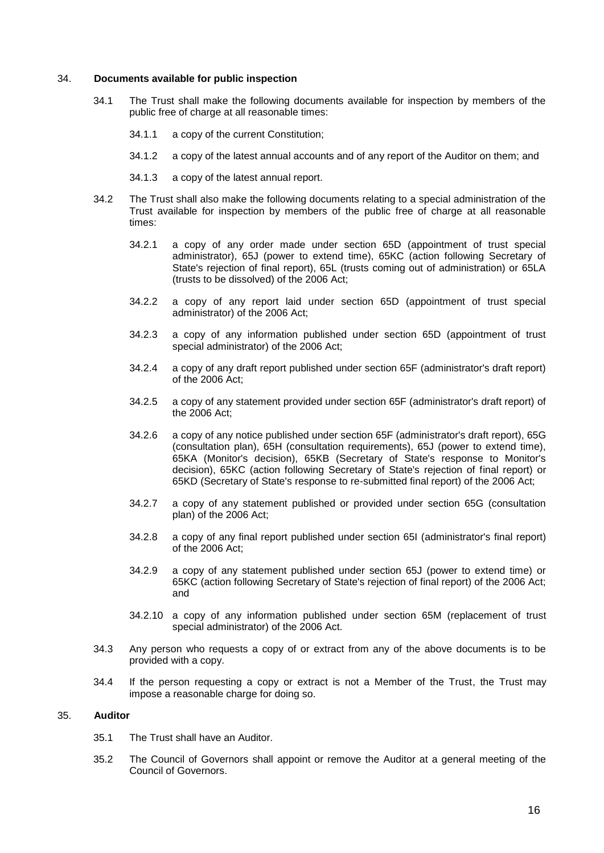### 34. **Documents available for public inspection**

- 34.1 The Trust shall make the following documents available for inspection by members of the public free of charge at all reasonable times:
	- 34.1.1 a copy of the current Constitution;
	- 34.1.2 a copy of the latest annual accounts and of any report of the Auditor on them; and
	- 34.1.3 a copy of the latest annual report.
- 34.2 The Trust shall also make the following documents relating to a special administration of the Trust available for inspection by members of the public free of charge at all reasonable times:
	- 34.2.1 a copy of any order made under section 65D (appointment of trust special administrator), 65J (power to extend time), 65KC (action following Secretary of State's rejection of final report), 65L (trusts coming out of administration) or 65LA (trusts to be dissolved) of the 2006 Act;
	- 34.2.2 a copy of any report laid under section 65D (appointment of trust special administrator) of the 2006 Act;
	- 34.2.3 a copy of any information published under section 65D (appointment of trust special administrator) of the 2006 Act;
	- 34.2.4 a copy of any draft report published under section 65F (administrator's draft report) of the 2006 Act;
	- 34.2.5 a copy of any statement provided under section 65F (administrator's draft report) of the 2006 Act;
	- 34.2.6 a copy of any notice published under section 65F (administrator's draft report), 65G (consultation plan), 65H (consultation requirements), 65J (power to extend time), 65KA (Monitor's decision), 65KB (Secretary of State's response to Monitor's decision), 65KC (action following Secretary of State's rejection of final report) or 65KD (Secretary of State's response to re-submitted final report) of the 2006 Act;
	- 34.2.7 a copy of any statement published or provided under section 65G (consultation plan) of the 2006 Act;
	- 34.2.8 a copy of any final report published under section 65I (administrator's final report) of the 2006 Act;
	- 34.2.9 a copy of any statement published under section 65J (power to extend time) or 65KC (action following Secretary of State's rejection of final report) of the 2006 Act; and
	- 34.2.10 a copy of any information published under section 65M (replacement of trust special administrator) of the 2006 Act.
- 34.3 Any person who requests a copy of or extract from any of the above documents is to be provided with a copy.
- 34.4 If the person requesting a copy or extract is not a Member of the Trust, the Trust may impose a reasonable charge for doing so.

#### 35. **Auditor**

- 35.1 The Trust shall have an Auditor.
- 35.2 The Council of Governors shall appoint or remove the Auditor at a general meeting of the Council of Governors.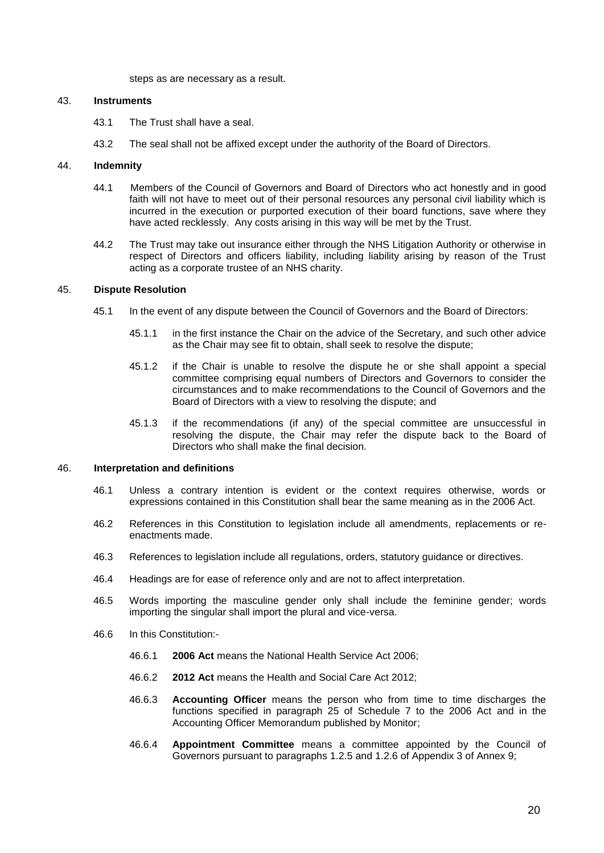steps as are necessary as a result.

# 43. **Instruments**

- 43.1 The Trust shall have a seal.
- 43.2 The seal shall not be affixed except under the authority of the Board of Directors.

### 44. **Indemnity**

- 44.1 Members of the Council of Governors and Board of Directors who act honestly and in good faith will not have to meet out of their personal resources any personal civil liability which is incurred in the execution or purported execution of their board functions, save where they have acted recklessly. Any costs arising in this way will be met by the Trust.
- 44.2 The Trust may take out insurance either through the NHS Litigation Authority or otherwise in respect of Directors and officers liability, including liability arising by reason of the Trust acting as a corporate trustee of an NHS charity.

#### 45. **Dispute Resolution**

- 45.1 In the event of any dispute between the Council of Governors and the Board of Directors:
	- 45.1.1 in the first instance the Chair on the advice of the Secretary, and such other advice as the Chair may see fit to obtain, shall seek to resolve the dispute;
	- 45.1.2 if the Chair is unable to resolve the dispute he or she shall appoint a special committee comprising equal numbers of Directors and Governors to consider the circumstances and to make recommendations to the Council of Governors and the Board of Directors with a view to resolving the dispute; and
	- 45.1.3 if the recommendations (if any) of the special committee are unsuccessful in resolving the dispute, the Chair may refer the dispute back to the Board of Directors who shall make the final decision.

# 46. **Interpretation and definitions**

- 46.1 Unless a contrary intention is evident or the context requires otherwise, words or expressions contained in this Constitution shall bear the same meaning as in the 2006 Act.
- 46.2 References in this Constitution to legislation include all amendments, replacements or reenactments made.
- 46.3 References to legislation include all regulations, orders, statutory guidance or directives.
- 46.4 Headings are for ease of reference only and are not to affect interpretation.
- 46.5 Words importing the masculine gender only shall include the feminine gender; words importing the singular shall import the plural and vice-versa.
- 46.6 In this Constitution:-
	- 46.6.1 **2006 Act** means the National Health Service Act 2006;
	- 46.6.2 **2012 Act** means the Health and Social Care Act 2012;
	- 46.6.3 **Accounting Officer** means the person who from time to time discharges the functions specified in paragraph 25 of Schedule 7 to the 2006 Act and in the Accounting Officer Memorandum published by Monitor;
	- 46.6.4 **Appointment Committee** means a committee appointed by the Council of Governors pursuant to paragraphs 1.2.5 and 1.2.6 of Appendix 3 of Annex 9;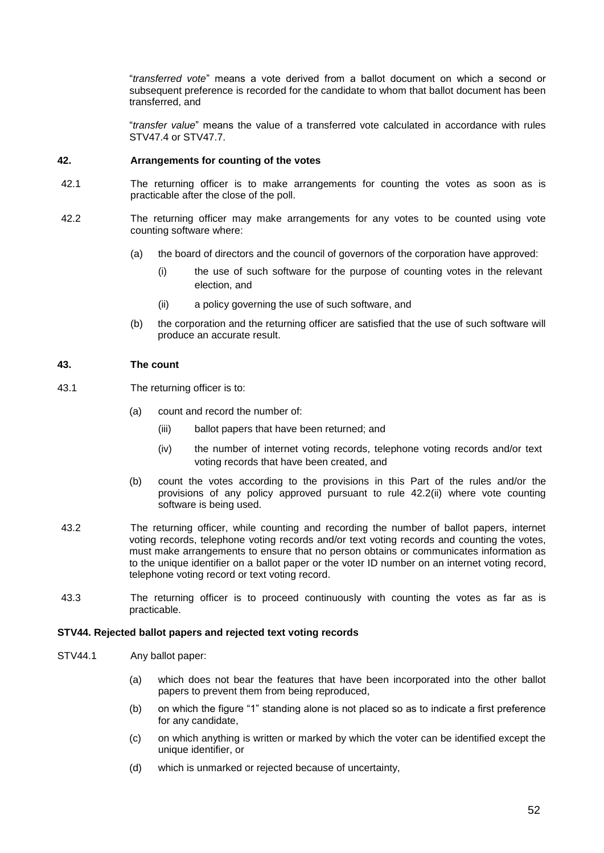"*transferred vote*" means a vote derived from a ballot document on which a second or subsequent preference is recorded for the candidate to whom that ballot document has been transferred, and

"*transfer value*" means the value of a transferred vote calculated in accordance with rules STV47.4 or STV47.7.

## **42. Arrangements for counting of the votes**

- 42.1 The returning officer is to make arrangements for counting the votes as soon as is practicable after the close of the poll.
- 42.2 The returning officer may make arrangements for any votes to be counted using vote counting software where:
	- (a) the board of directors and the council of governors of the corporation have approved:
		- (i) the use of such software for the purpose of counting votes in the relevant election, and
		- (ii) a policy governing the use of such software, and
	- (b) the corporation and the returning officer are satisfied that the use of such software will produce an accurate result.

## **43. The count**

- 43.1 The returning officer is to:
	- (a) count and record the number of:
		- (iii) ballot papers that have been returned; and
		- (iv) the number of internet voting records, telephone voting records and/or text voting records that have been created, and
	- (b) count the votes according to the provisions in this Part of the rules and/or the provisions of any policy approved pursuant to rule 42.2(ii) where vote counting software is being used.
- 43.2 The returning officer, while counting and recording the number of ballot papers, internet voting records, telephone voting records and/or text voting records and counting the votes, must make arrangements to ensure that no person obtains or communicates information as to the unique identifier on a ballot paper or the voter ID number on an internet voting record, telephone voting record or text voting record.
- 43.3 The returning officer is to proceed continuously with counting the votes as far as is practicable.

## **STV44. Rejected ballot papers and rejected text voting records**

- STV44.1 Any ballot paper:
	- (a) which does not bear the features that have been incorporated into the other ballot papers to prevent them from being reproduced,
	- (b) on which the figure "1" standing alone is not placed so as to indicate a first preference for any candidate,
	- (c) on which anything is written or marked by which the voter can be identified except the unique identifier, or
	- (d) which is unmarked or rejected because of uncertainty,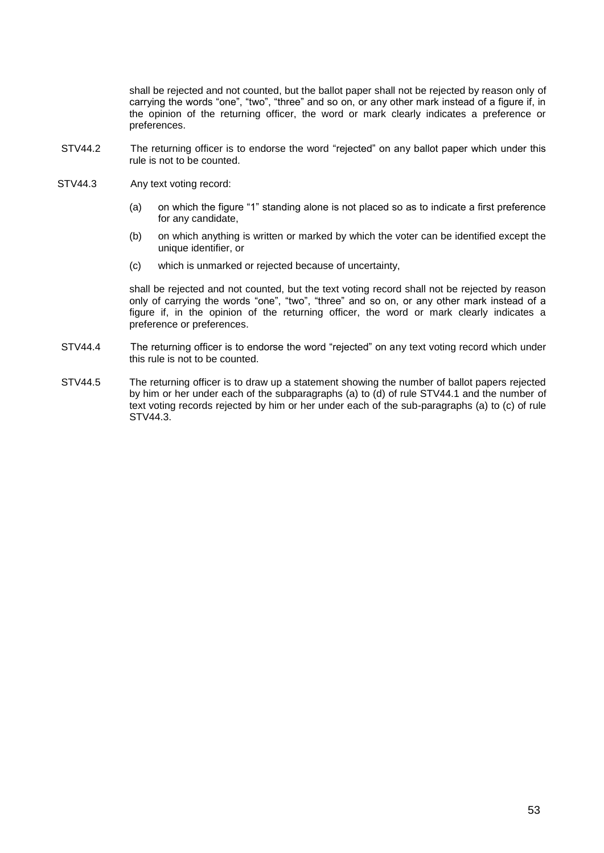shall be rejected and not counted, but the ballot paper shall not be rejected by reason only of carrying the words "one", "two", "three" and so on, or any other mark instead of a figure if, in the opinion of the returning officer, the word or mark clearly indicates a preference or preferences.

- STV44.2 The returning officer is to endorse the word "rejected" on any ballot paper which under this rule is not to be counted.
- STV44.3 Any text voting record:
	- (a) on which the figure "1" standing alone is not placed so as to indicate a first preference for any candidate,
	- (b) on which anything is written or marked by which the voter can be identified except the unique identifier, or
	- (c) which is unmarked or rejected because of uncertainty,

shall be rejected and not counted, but the text voting record shall not be rejected by reason only of carrying the words "one", "two", "three" and so on, or any other mark instead of a figure if, in the opinion of the returning officer, the word or mark clearly indicates a preference or preferences.

- STV44.4 The returning officer is to endorse the word "rejected" on any text voting record which under this rule is not to be counted.
- STV44.5 The returning officer is to draw up a statement showing the number of ballot papers rejected by him or her under each of the subparagraphs (a) to (d) of rule STV44.1 and the number of text voting records rejected by him or her under each of the sub-paragraphs (a) to (c) of rule STV44.3.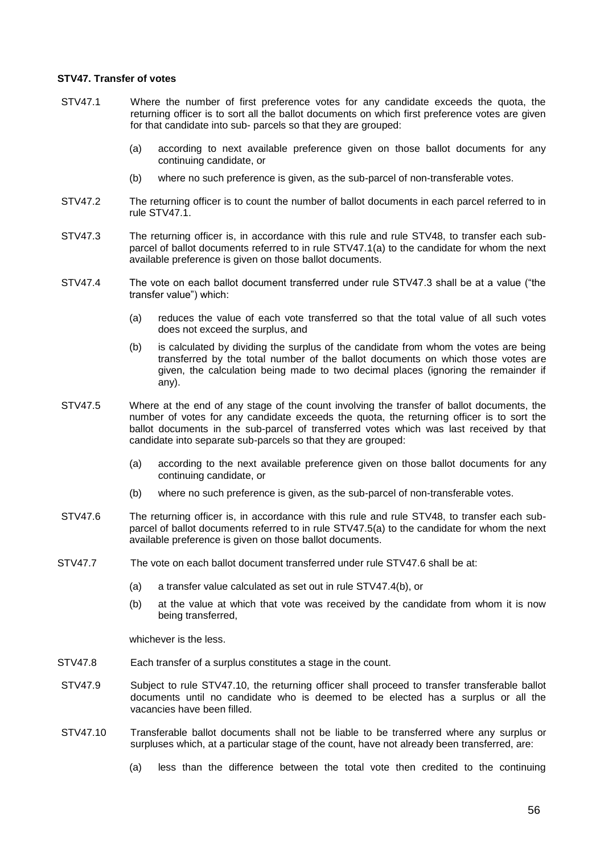## **STV47. Transfer of votes**

- STV47.1 Where the number of first preference votes for any candidate exceeds the quota, the returning officer is to sort all the ballot documents on which first preference votes are given for that candidate into sub- parcels so that they are grouped:
	- (a) according to next available preference given on those ballot documents for any continuing candidate, or
	- (b) where no such preference is given, as the sub-parcel of non-transferable votes.
- STV47.2 The returning officer is to count the number of ballot documents in each parcel referred to in rule STV47.1.
- STV47.3 The returning officer is, in accordance with this rule and rule STV48, to transfer each subparcel of ballot documents referred to in rule STV47.1(a) to the candidate for whom the next available preference is given on those ballot documents.
- STV47.4 The vote on each ballot document transferred under rule STV47.3 shall be at a value ("the transfer value") which:
	- (a) reduces the value of each vote transferred so that the total value of all such votes does not exceed the surplus, and
	- (b) is calculated by dividing the surplus of the candidate from whom the votes are being transferred by the total number of the ballot documents on which those votes are given, the calculation being made to two decimal places (ignoring the remainder if any).
- STV47.5 Where at the end of any stage of the count involving the transfer of ballot documents, the number of votes for any candidate exceeds the quota, the returning officer is to sort the ballot documents in the sub-parcel of transferred votes which was last received by that candidate into separate sub-parcels so that they are grouped:
	- (a) according to the next available preference given on those ballot documents for any continuing candidate, or
	- (b) where no such preference is given, as the sub-parcel of non-transferable votes.
- STV47.6 The returning officer is, in accordance with this rule and rule STV48, to transfer each subparcel of ballot documents referred to in rule STV47.5(a) to the candidate for whom the next available preference is given on those ballot documents.
- STV47.7 The vote on each ballot document transferred under rule STV47.6 shall be at:
	- (a) a transfer value calculated as set out in rule STV47.4(b), or
	- (b) at the value at which that vote was received by the candidate from whom it is now being transferred,

whichever is the less.

- STV47.8 Each transfer of a surplus constitutes a stage in the count.
- STV47.9 Subject to rule STV47.10, the returning officer shall proceed to transfer transferable ballot documents until no candidate who is deemed to be elected has a surplus or all the vacancies have been filled.
- STV47.10 Transferable ballot documents shall not be liable to be transferred where any surplus or surpluses which, at a particular stage of the count, have not already been transferred, are:
	- (a) less than the difference between the total vote then credited to the continuing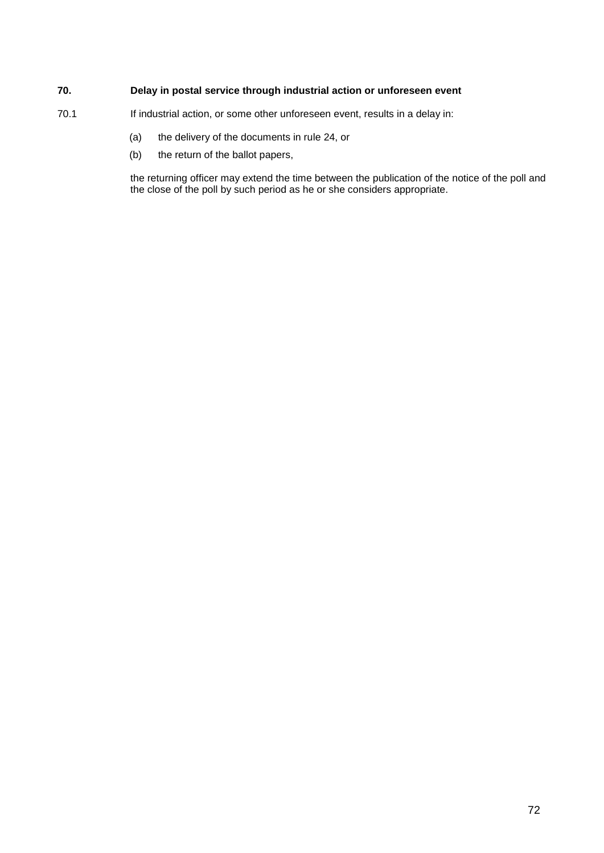# **70. Delay in postal service through industrial action or unforeseen event**

- 70.1 If industrial action, or some other unforeseen event, results in a delay in:
	- (a) the delivery of the documents in rule 24, or
	- (b) the return of the ballot papers,

the returning officer may extend the time between the publication of the notice of the poll and the close of the poll by such period as he or she considers appropriate.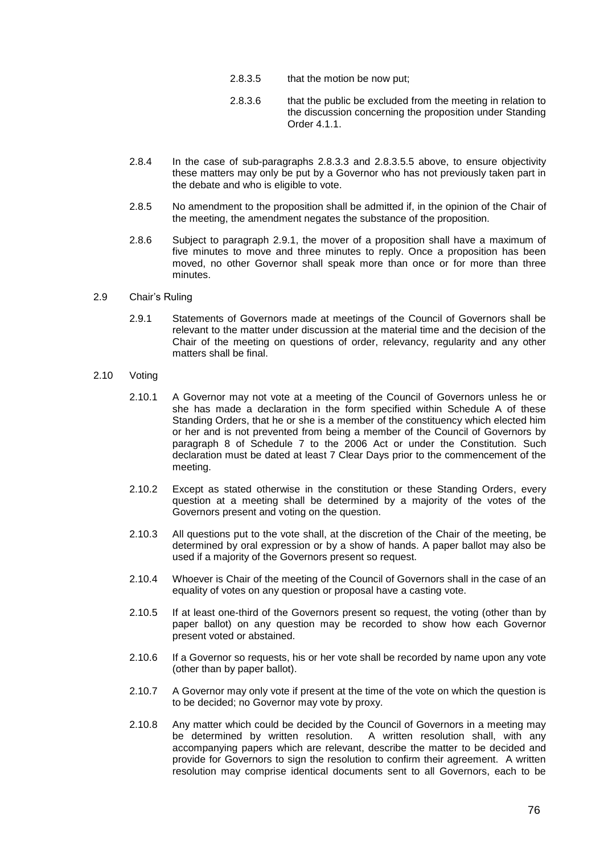- 2.8.3.5 that the motion be now put;
- 2.8.3.6 that the public be excluded from the meeting in relation to the discussion concerning the proposition under Standing Order 4.1.1.
- <span id="page-80-0"></span>2.8.4 In the case of sub-paragraphs [2.8.3.3](#page-79-0) and [2.8.3.5.](#page-80-0)5 above, to ensure objectivity these matters may only be put by a Governor who has not previously taken part in the debate and who is eligible to vote.
- 2.8.5 No amendment to the proposition shall be admitted if, in the opinion of the Chair of the meeting, the amendment negates the substance of the proposition.
- 2.8.6 Subject to paragraph [2.9.1,](#page-80-1) the mover of a proposition shall have a maximum of five minutes to move and three minutes to reply. Once a proposition has been moved, no other Governor shall speak more than once or for more than three minutes.
- <span id="page-80-1"></span>2.9 Chair's Ruling
	- 2.9.1 Statements of Governors made at meetings of the Council of Governors shall be relevant to the matter under discussion at the material time and the decision of the Chair of the meeting on questions of order, relevancy, regularity and any other matters shall be final
- 2.10 Voting
	- 2.10.1 A Governor may not vote at a meeting of the Council of Governors unless he or she has made a declaration in the form specified within Schedule A of these Standing Orders, that he or she is a member of the constituency which elected him or her and is not prevented from being a member of the Council of Governors by paragraph 8 of Schedule 7 to the 2006 Act or under the Constitution. Such declaration must be dated at least 7 Clear Days prior to the commencement of the meeting.
	- 2.10.2 Except as stated otherwise in the constitution or these Standing Orders, every question at a meeting shall be determined by a majority of the votes of the Governors present and voting on the question.
	- 2.10.3 All questions put to the vote shall, at the discretion of the Chair of the meeting, be determined by oral expression or by a show of hands. A paper ballot may also be used if a majority of the Governors present so request.
	- 2.10.4 Whoever is Chair of the meeting of the Council of Governors shall in the case of an equality of votes on any question or proposal have a casting vote.
	- 2.10.5 If at least one-third of the Governors present so request, the voting (other than by paper ballot) on any question may be recorded to show how each Governor present voted or abstained.
	- 2.10.6 If a Governor so requests, his or her vote shall be recorded by name upon any vote (other than by paper ballot).
	- 2.10.7 A Governor may only vote if present at the time of the vote on which the question is to be decided; no Governor may vote by proxy.
	- 2.10.8 Any matter which could be decided by the Council of Governors in a meeting may be determined by written resolution. A written resolution shall, with any accompanying papers which are relevant, describe the matter to be decided and provide for Governors to sign the resolution to confirm their agreement. A written resolution may comprise identical documents sent to all Governors, each to be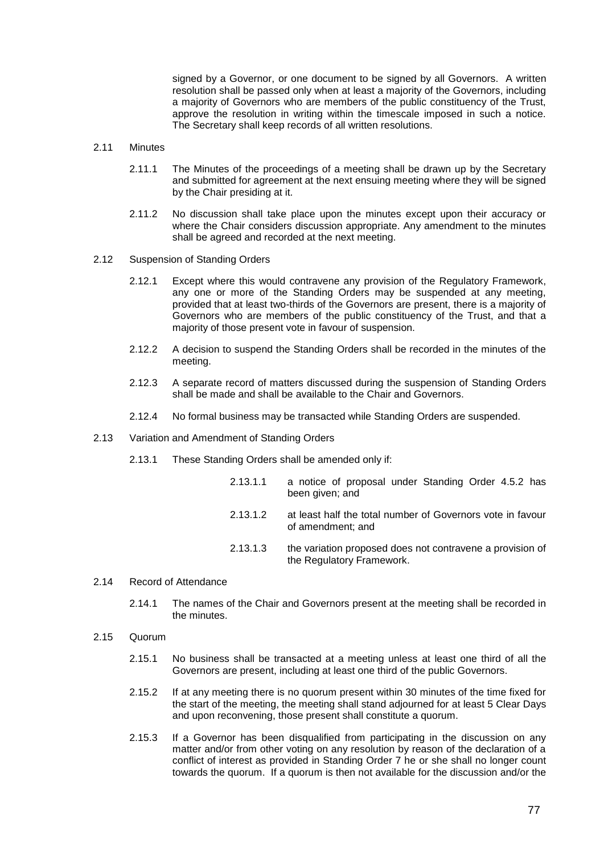signed by a Governor, or one document to be signed by all Governors. A written resolution shall be passed only when at least a majority of the Governors, including a majority of Governors who are members of the public constituency of the Trust, approve the resolution in writing within the timescale imposed in such a notice. The Secretary shall keep records of all written resolutions.

#### 2.11 Minutes

- 2.11.1 The Minutes of the proceedings of a meeting shall be drawn up by the Secretary and submitted for agreement at the next ensuing meeting where they will be signed by the Chair presiding at it.
- 2.11.2 No discussion shall take place upon the minutes except upon their accuracy or where the Chair considers discussion appropriate. Any amendment to the minutes shall be agreed and recorded at the next meeting.
- 2.12 Suspension of Standing Orders
	- 2.12.1 Except where this would contravene any provision of the Regulatory Framework, any one or more of the Standing Orders may be suspended at any meeting, provided that at least two-thirds of the Governors are present, there is a majority of Governors who are members of the public constituency of the Trust, and that a majority of those present vote in favour of suspension.
	- 2.12.2 A decision to suspend the Standing Orders shall be recorded in the minutes of the meeting.
	- 2.12.3 A separate record of matters discussed during the suspension of Standing Orders shall be made and shall be available to the Chair and Governors.
	- 2.12.4 No formal business may be transacted while Standing Orders are suspended.
- 2.13 Variation and Amendment of Standing Orders
	- 2.13.1 These Standing Orders shall be amended only if:
		- 2.13.1.1 a notice of proposal under Standing Order 4.5.2 has been given; and 2.13.1.2 at least half the total number of Governors vote in favour
		- 2.13.1.3 the variation proposed does not contravene a provision of

#### 2.14 Record of Attendance

2.14.1 The names of the Chair and Governors present at the meeting shall be recorded in the minutes.

the Regulatory Framework.

of amendment; and

- 2.15 Quorum
	- 2.15.1 No business shall be transacted at a meeting unless at least one third of all the Governors are present, including at least one third of the public Governors.
	- 2.15.2 If at any meeting there is no quorum present within 30 minutes of the time fixed for the start of the meeting, the meeting shall stand adjourned for at least 5 Clear Days and upon reconvening, those present shall constitute a quorum.
	- 2.15.3 If a Governor has been disqualified from participating in the discussion on any matter and/or from other voting on any resolution by reason of the declaration of a conflict of interest as provided in Standing Order 7 he or she shall no longer count towards the quorum. If a quorum is then not available for the discussion and/or the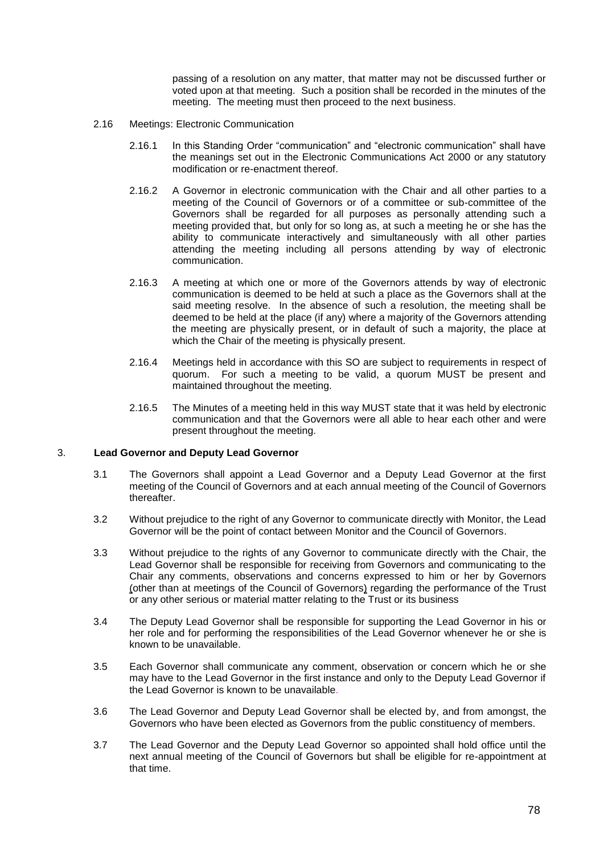passing of a resolution on any matter, that matter may not be discussed further or voted upon at that meeting. Such a position shall be recorded in the minutes of the meeting. The meeting must then proceed to the next business.

- 2.16 Meetings: Electronic Communication
	- 2.16.1 In this Standing Order "communication" and "electronic communication" shall have the meanings set out in the Electronic Communications Act 2000 or any statutory modification or re-enactment thereof.
	- 2.16.2 A Governor in electronic communication with the Chair and all other parties to a meeting of the Council of Governors or of a committee or sub-committee of the Governors shall be regarded for all purposes as personally attending such a meeting provided that, but only for so long as, at such a meeting he or she has the ability to communicate interactively and simultaneously with all other parties attending the meeting including all persons attending by way of electronic communication.
	- 2.16.3 A meeting at which one or more of the Governors attends by way of electronic communication is deemed to be held at such a place as the Governors shall at the said meeting resolve. In the absence of such a resolution, the meeting shall be deemed to be held at the place (if any) where a majority of the Governors attending the meeting are physically present, or in default of such a majority, the place at which the Chair of the meeting is physically present.
	- 2.16.4 Meetings held in accordance with this SO are subject to requirements in respect of quorum. For such a meeting to be valid, a quorum MUST be present and maintained throughout the meeting.
	- 2.16.5 The Minutes of a meeting held in this way MUST state that it was held by electronic communication and that the Governors were all able to hear each other and were present throughout the meeting.

## 3. **Lead Governor and Deputy Lead Governor**

- 3.1 The Governors shall appoint a Lead Governor and a Deputy Lead Governor at the first meeting of the Council of Governors and at each annual meeting of the Council of Governors thereafter.
- 3.2 Without prejudice to the right of any Governor to communicate directly with Monitor, the Lead Governor will be the point of contact between Monitor and the Council of Governors.
- 3.3 Without prejudice to the rights of any Governor to communicate directly with the Chair, the Lead Governor shall be responsible for receiving from Governors and communicating to the Chair any comments, observations and concerns expressed to him or her by Governors (other than at meetings of the Council of Governors) regarding the performance of the Trust or any other serious or material matter relating to the Trust or its business
- 3.4 The Deputy Lead Governor shall be responsible for supporting the Lead Governor in his or her role and for performing the responsibilities of the Lead Governor whenever he or she is known to be unavailable.
- 3.5 Each Governor shall communicate any comment, observation or concern which he or she may have to the Lead Governor in the first instance and only to the Deputy Lead Governor if the Lead Governor is known to be unavailable.
- 3.6 The Lead Governor and Deputy Lead Governor shall be elected by, and from amongst, the Governors who have been elected as Governors from the public constituency of members.
- 3.7 The Lead Governor and the Deputy Lead Governor so appointed shall hold office until the next annual meeting of the Council of Governors but shall be eligible for re-appointment at that time.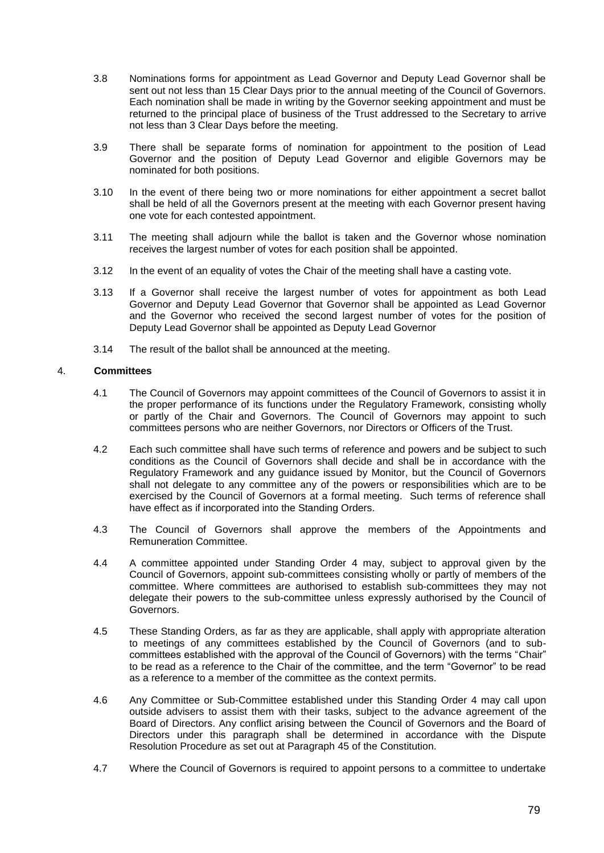- 3.8 Nominations forms for appointment as Lead Governor and Deputy Lead Governor shall be sent out not less than 15 Clear Days prior to the annual meeting of the Council of Governors. Each nomination shall be made in writing by the Governor seeking appointment and must be returned to the principal place of business of the Trust addressed to the Secretary to arrive not less than 3 Clear Days before the meeting.
- 3.9 There shall be separate forms of nomination for appointment to the position of Lead Governor and the position of Deputy Lead Governor and eligible Governors may be nominated for both positions.
- 3.10 In the event of there being two or more nominations for either appointment a secret ballot shall be held of all the Governors present at the meeting with each Governor present having one vote for each contested appointment.
- 3.11 The meeting shall adjourn while the ballot is taken and the Governor whose nomination receives the largest number of votes for each position shall be appointed.
- 3.12 In the event of an equality of votes the Chair of the meeting shall have a casting vote.
- 3.13 If a Governor shall receive the largest number of votes for appointment as both Lead Governor and Deputy Lead Governor that Governor shall be appointed as Lead Governor and the Governor who received the second largest number of votes for the position of Deputy Lead Governor shall be appointed as Deputy Lead Governor
- 3.14 The result of the ballot shall be announced at the meeting.

# <span id="page-83-0"></span>4. **Committees**

- 4.1 The Council of Governors may appoint committees of the Council of Governors to assist it in the proper performance of its functions under the Regulatory Framework, consisting wholly or partly of the Chair and Governors. The Council of Governors may appoint to such committees persons who are neither Governors, nor Directors or Officers of the Trust.
- 4.2 Each such committee shall have such terms of reference and powers and be subject to such conditions as the Council of Governors shall decide and shall be in accordance with the Regulatory Framework and any guidance issued by Monitor, but the Council of Governors shall not delegate to any committee any of the powers or responsibilities which are to be exercised by the Council of Governors at a formal meeting. Such terms of reference shall have effect as if incorporated into the Standing Orders.
- 4.3 The Council of Governors shall approve the members of the Appointments and Remuneration Committee.
- 4.4 A committee appointed under Standing Order [4](#page-83-0) may, subject to approval given by the Council of Governors, appoint sub-committees consisting wholly or partly of members of the committee. Where committees are authorised to establish sub-committees they may not delegate their powers to the sub-committee unless expressly authorised by the Council of Governors.
- 4.5 These Standing Orders, as far as they are applicable, shall apply with appropriate alteration to meetings of any committees established by the Council of Governors (and to subcommittees established with the approval of the Council of Governors) with the terms "Chair" to be read as a reference to the Chair of the committee, and the term "Governor" to be read as a reference to a member of the committee as the context permits.
- 4.6 Any Committee or Sub-Committee established under this Standing Order [4](#page-83-0) may call upon outside advisers to assist them with their tasks, subject to the advance agreement of the Board of Directors. Any conflict arising between the Council of Governors and the Board of Directors under this paragraph shall be determined in accordance with the Dispute Resolution Procedure as set out at Paragraph [45](#page-24-0) of the Constitution.
- 4.7 Where the Council of Governors is required to appoint persons to a committee to undertake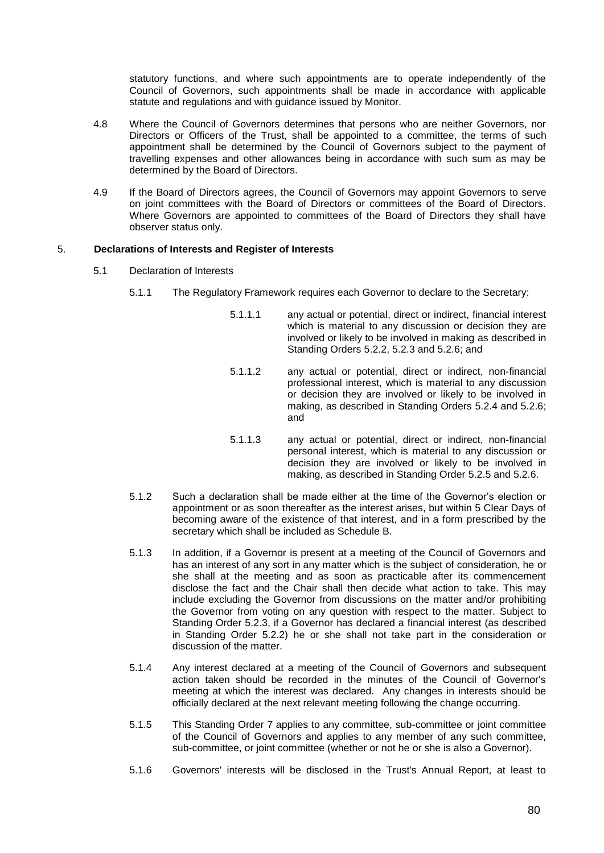statutory functions, and where such appointments are to operate independently of the Council of Governors, such appointments shall be made in accordance with applicable statute and regulations and with guidance issued by Monitor.

- 4.8 Where the Council of Governors determines that persons who are neither Governors, nor Directors or Officers of the Trust, shall be appointed to a committee, the terms of such appointment shall be determined by the Council of Governors subject to the payment of travelling expenses and other allowances being in accordance with such sum as may be determined by the Board of Directors.
- 4.9 If the Board of Directors agrees, the Council of Governors may appoint Governors to serve on joint committees with the Board of Directors or committees of the Board of Directors. Where Governors are appointed to committees of the Board of Directors they shall have observer status only.

# <span id="page-84-0"></span>5. **Declarations of Interests and Register of Interests**

- 5.1 Declaration of Interests
	- 5.1.1 The Regulatory Framework requires each Governor to declare to the Secretary:
		- 5.1.1.1 any actual or potential, direct or indirect, financial interest which is material to any discussion or decision they are involved or likely to be involved in making as described in Standing Orders 5.2.2, 5.2.3 and 5.2.6; and
		- 5.1.1.2 any actual or potential, direct or indirect, non-financial professional interest, which is material to any discussion or decision they are involved or likely to be involved in making, as described in Standing Orders 5.2.4 and 5.2.6; and
		- 5.1.1.3 any actual or potential, direct or indirect, non-financial personal interest, which is material to any discussion or decision they are involved or likely to be involved in making, as described in Standing Order 5.2.5 and 5.2.6.
	- 5.1.2 Such a declaration shall be made either at the time of the Governor's election or appointment or as soon thereafter as the interest arises, but within 5 Clear Days of becoming aware of the existence of that interest, and in a form prescribed by the secretary which shall be included as Schedule B.
	- 5.1.3 In addition, if a Governor is present at a meeting of the Council of Governors and has an interest of any sort in any matter which is the subject of consideration, he or she shall at the meeting and as soon as practicable after its commencement disclose the fact and the Chair shall then decide what action to take. This may include excluding the Governor from discussions on the matter and/or prohibiting the Governor from voting on any question with respect to the matter. Subject to Standing Order 5.2.3, if a Governor has declared a financial interest (as described in Standing Order 5.2.2) he or she shall not take part in the consideration or discussion of the matter.
	- 5.1.4 Any interest declared at a meeting of the Council of Governors and subsequent action taken should be recorded in the minutes of the Council of Governor's meeting at which the interest was declared. Any changes in interests should be officially declared at the next relevant meeting following the change occurring.
	- 5.1.5 This Standing Order 7 applies to any committee, sub-committee or joint committee of the Council of Governors and applies to any member of any such committee, sub-committee, or joint committee (whether or not he or she is also a Governor).
	- 5.1.6 Governors' interests will be disclosed in the Trust's Annual Report, at least to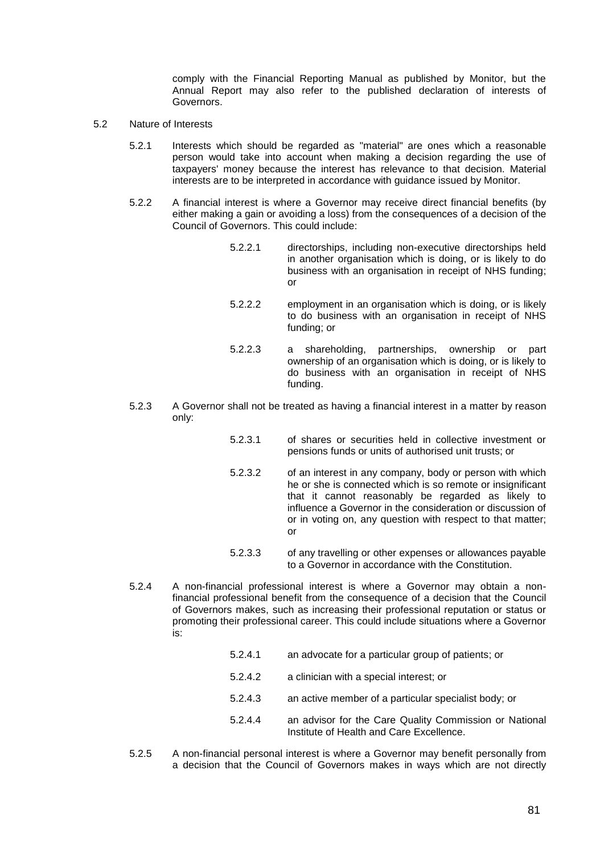comply with the Financial Reporting Manual as published by Monitor, but the Annual Report may also refer to the published declaration of interests of Governors.

- 5.2 Nature of Interests
	- 5.2.1 Interests which should be regarded as "material" are ones which a reasonable person would take into account when making a decision regarding the use of taxpayers' money because the interest has relevance to that decision. Material interests are to be interpreted in accordance with guidance issued by Monitor.
	- 5.2.2 A financial interest is where a Governor may receive direct financial benefits (by either making a gain or avoiding a loss) from the consequences of a decision of the Council of Governors. This could include:

| 5.2.2.1 | directorships, including non-executive directorships held  |
|---------|------------------------------------------------------------|
|         | in another organisation which is doing, or is likely to do |
|         | business with an organisation in receipt of NHS funding;   |
|         | or                                                         |
|         |                                                            |

- 5.2.2.2 employment in an organisation which is doing, or is likely to do business with an organisation in receipt of NHS funding; or
- 5.2.2.3 a shareholding, partnerships, ownership or part ownership of an organisation which is doing, or is likely to do business with an organisation in receipt of NHS funding.
- 5.2.3 A Governor shall not be treated as having a financial interest in a matter by reason only:
	- 5.2.3.1 of shares or securities held in collective investment or pensions funds or units of authorised unit trusts; or
	- 5.2.3.2 of an interest in any company, body or person with which he or she is connected which is so remote or insignificant that it cannot reasonably be regarded as likely to influence a Governor in the consideration or discussion of or in voting on, any question with respect to that matter; or
	- 5.2.3.3 of any travelling or other expenses or allowances payable to a Governor in accordance with the Constitution.
- 5.2.4 A non-financial professional interest is where a Governor may obtain a nonfinancial professional benefit from the consequence of a decision that the Council of Governors makes, such as increasing their professional reputation or status or promoting their professional career. This could include situations where a Governor is:
	- 5.2.4.1 an advocate for a particular group of patients; or
	- 5.2.4.2 a clinician with a special interest; or
	- 5.2.4.3 an active member of a particular specialist body; or
	- 5.2.4.4 an advisor for the Care Quality Commission or National Institute of Health and Care Excellence.
- 5.2.5 A non-financial personal interest is where a Governor may benefit personally from a decision that the Council of Governors makes in ways which are not directly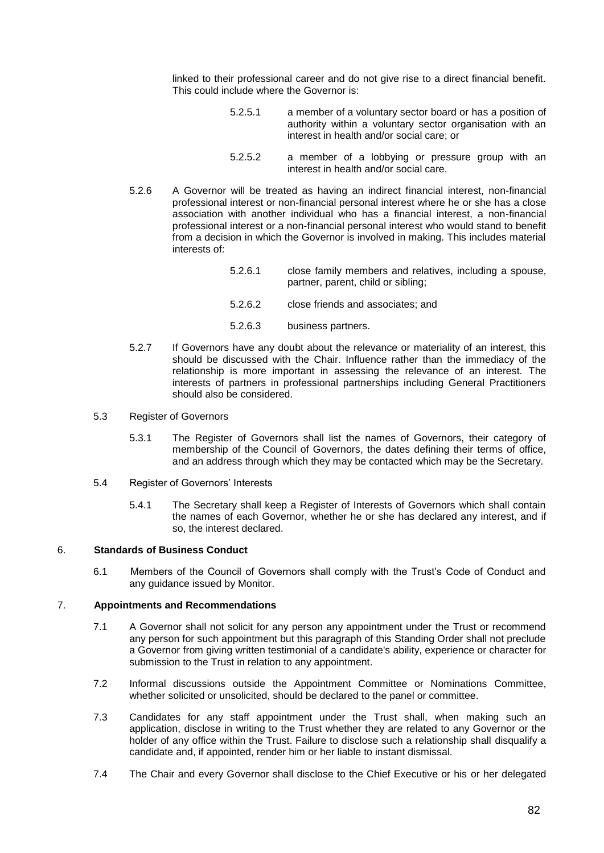linked to their professional career and do not give rise to a direct financial benefit. This could include where the Governor is:

| 5.2.5.1 | a member of a voluntary sector board or has a position of<br>authority within a voluntary sector organisation with an<br>interest in health and/or social care; or |
|---------|--------------------------------------------------------------------------------------------------------------------------------------------------------------------|
|         |                                                                                                                                                                    |

- 5.2.5.2 a member of a lobbying or pressure group with an interest in health and/or social care.
- 5.2.6 A Governor will be treated as having an indirect financial interest, non-financial professional interest or non-financial personal interest where he or she has a close association with another individual who has a financial interest, a non-financial professional interest or a non-financial personal interest who would stand to benefit from a decision in which the Governor is involved in making. This includes material interests of:
	- 5.2.6.1 close family members and relatives, including a spouse, partner, parent, child or sibling;
	- 5.2.6.2 close friends and associates; and
	- 5.2.6.3 business partners.
- 5.2.7 If Governors have any doubt about the relevance or materiality of an interest, this should be discussed with the Chair. Influence rather than the immediacy of the relationship is more important in assessing the relevance of an interest. The interests of partners in professional partnerships including General Practitioners should also be considered.
- 5.3 Register of Governors
	- 5.3.1 The Register of Governors shall list the names of Governors, their category of membership of the Council of Governors, the dates defining their terms of office, and an address through which they may be contacted which may be the Secretary.
- 5.4 Register of Governors' Interests
	- 5.4.1 The Secretary shall keep a Register of Interests of Governors which shall contain the names of each Governor, whether he or she has declared any interest, and if so, the interest declared.

# 6. **Standards of Business Conduct**

6.1 Members of the Council of Governors shall comply with the Trust's Code of Conduct and any guidance issued by Monitor.

# 7. **Appointments and Recommendations**

- 7.1 A Governor shall not solicit for any person any appointment under the Trust or recommend any person for such appointment but this paragraph of this Standing Order shall not preclude a Governor from giving written testimonial of a candidate's ability, experience or character for submission to the Trust in relation to any appointment.
- 7.2 Informal discussions outside the Appointment Committee or Nominations Committee, whether solicited or unsolicited, should be declared to the panel or committee.
- 7.3 Candidates for any staff appointment under the Trust shall, when making such an application, disclose in writing to the Trust whether they are related to any Governor or the holder of any office within the Trust. Failure to disclose such a relationship shall disqualify a candidate and, if appointed, render him or her liable to instant dismissal.
- 7.4 The Chair and every Governor shall disclose to the Chief Executive or his or her delegated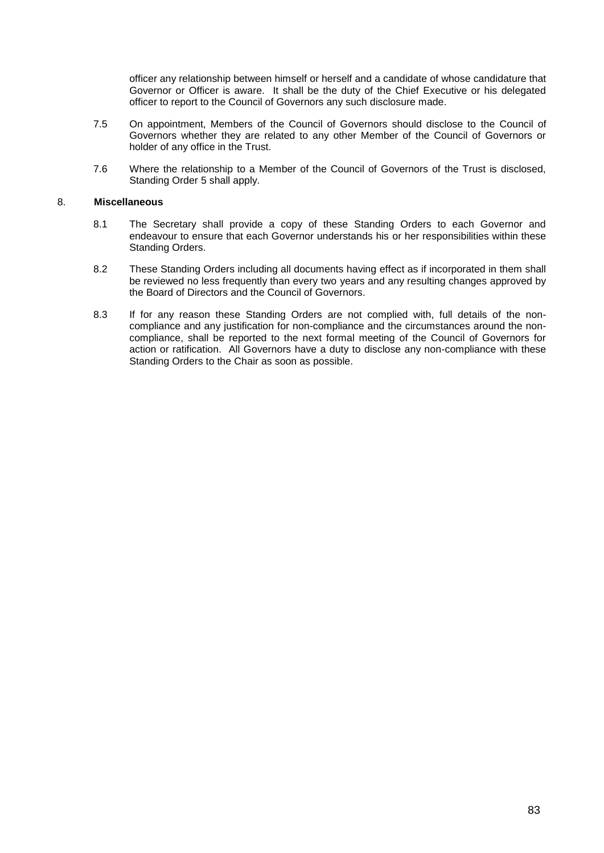officer any relationship between himself or herself and a candidate of whose candidature that Governor or Officer is aware. It shall be the duty of the Chief Executive or his delegated officer to report to the Council of Governors any such disclosure made.

- 7.5 On appointment, Members of the Council of Governors should disclose to the Council of Governors whether they are related to any other Member of the Council of Governors or holder of any office in the Trust.
- 7.6 Where the relationship to a Member of the Council of Governors of the Trust is disclosed, Standing Order [5](#page-84-0) shall apply.

# 8. **Miscellaneous**

- 8.1 The Secretary shall provide a copy of these Standing Orders to each Governor and endeavour to ensure that each Governor understands his or her responsibilities within these Standing Orders.
- 8.2 These Standing Orders including all documents having effect as if incorporated in them shall be reviewed no less frequently than every two years and any resulting changes approved by the Board of Directors and the Council of Governors.
- 8.3 If for any reason these Standing Orders are not complied with, full details of the noncompliance and any justification for non-compliance and the circumstances around the noncompliance, shall be reported to the next formal meeting of the Council of Governors for action or ratification. All Governors have a duty to disclose any non-compliance with these Standing Orders to the Chair as soon as possible.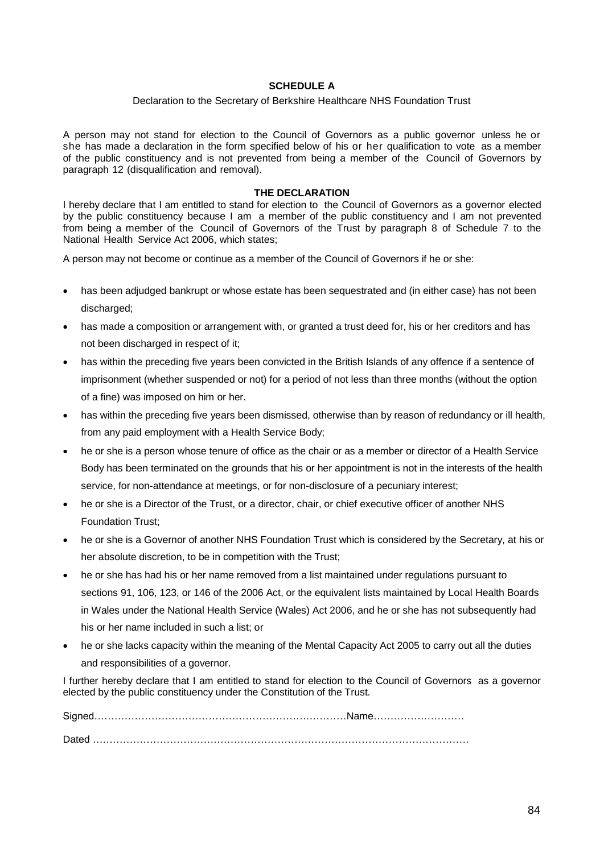# **SCHEDULE A**

# Declaration to the Secretary of Berkshire Healthcare NHS Foundation Trust

A person may not stand for election to the Council of Governors as a public governor unless he or she has made a declaration in the form specified below of his or her qualification to vote as a member of the public constituency and is not prevented from being a member of the Council of Governors by paragraph 12 (disqualification and removal).

## **THE DECLARATION**

I hereby declare that I am entitled to stand for election to the Council of Governors as a governor elected by the public constituency because I am a member of the public constituency and I am not prevented from being a member of the Council of Governors of the Trust by paragraph 8 of Schedule 7 to the National Health Service Act 2006, which states;

A person may not become or continue as a member of the Council of Governors if he or she:

- has been adjudged bankrupt or whose estate has been sequestrated and (in either case) has not been discharged:
- has made a composition or arrangement with, or granted a trust deed for, his or her creditors and has not been discharged in respect of it;
- has within the preceding five years been convicted in the British Islands of any offence if a sentence of imprisonment (whether suspended or not) for a period of not less than three months (without the option of a fine) was imposed on him or her.
- has within the preceding five years been dismissed, otherwise than by reason of redundancy or ill health, from any paid employment with a Health Service Body;
- he or she is a person whose tenure of office as the chair or as a member or director of a Health Service Body has been terminated on the grounds that his or her appointment is not in the interests of the health service, for non-attendance at meetings, or for non-disclosure of a pecuniary interest;
- he or she is a Director of the Trust, or a director, chair, or chief executive officer of another NHS Foundation Trust;
- he or she is a Governor of another NHS Foundation Trust which is considered by the Secretary, at his or her absolute discretion, to be in competition with the Trust;
- he or she has had his or her name removed from a list maintained under regulations pursuant to sections 91, 106, 123, or 146 of the 2006 Act, or the equivalent lists maintained by Local Health Boards in Wales under the National Health Service (Wales) Act 2006, and he or she has not subsequently had his or her name included in such a list; or
- he or she lacks capacity within the meaning of the Mental Capacity Act 2005 to carry out all the duties and responsibilities of a governor.

I further hereby declare that I am entitled to stand for election to the Council of Governors as a governor elected by the public constituency under the Constitution of the Trust.

Signed…………………………………………………………………Name……………………… Dated ………………………………………………………………………………………………….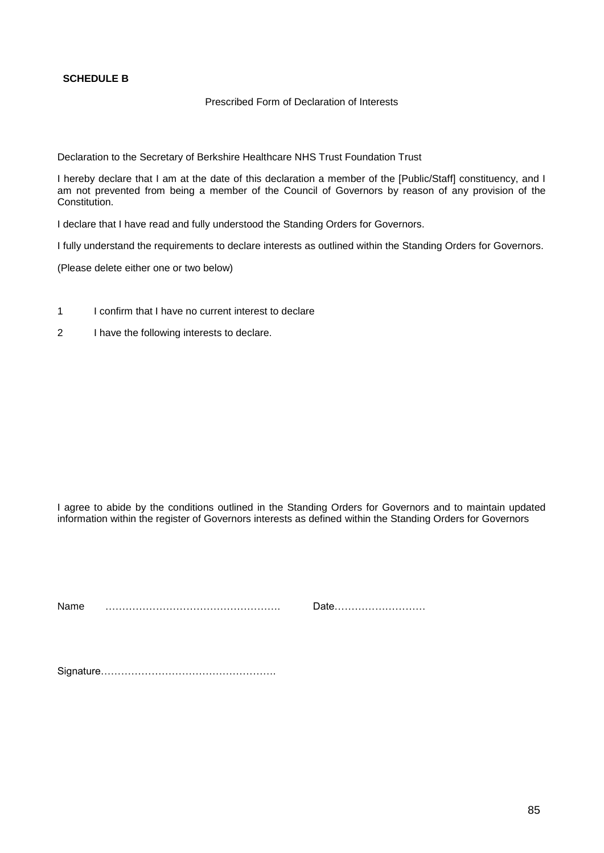# **SCHEDULE B**

# Prescribed Form of Declaration of Interests

Declaration to the Secretary of Berkshire Healthcare NHS Trust Foundation Trust

I hereby declare that I am at the date of this declaration a member of the [Public/Staff] constituency, and I am not prevented from being a member of the Council of Governors by reason of any provision of the Constitution.

I declare that I have read and fully understood the Standing Orders for Governors.

I fully understand the requirements to declare interests as outlined within the Standing Orders for Governors.

(Please delete either one or two below)

- 1 I confirm that I have no current interest to declare
- 2 I have the following interests to declare.

I agree to abide by the conditions outlined in the Standing Orders for Governors and to maintain updated information within the register of Governors interests as defined within the Standing Orders for Governors

Name ……………………………………………. Date………………………

Signature…………………………………………….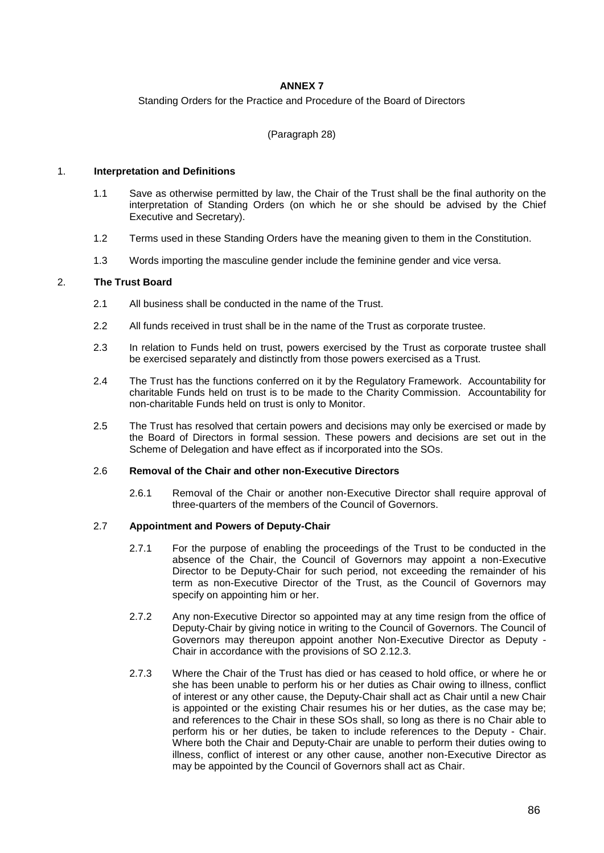# **ANNEX 7**

Standing Orders for the Practice and Procedure of the Board of Directors

(Paragraph [28\)](#page-17-0)

## 1. **Interpretation and Definitions**

- 1.1 Save as otherwise permitted by law, the Chair of the Trust shall be the final authority on the interpretation of Standing Orders (on which he or she should be advised by the Chief Executive and Secretary).
- 1.2 Terms used in these Standing Orders have the meaning given to them in the Constitution.
- 1.3 Words importing the masculine gender include the feminine gender and vice versa.

# 2. **The Trust Board**

- 2.1 All business shall be conducted in the name of the Trust.
- 2.2 All funds received in trust shall be in the name of the Trust as corporate trustee.
- 2.3 In relation to Funds held on trust, powers exercised by the Trust as corporate trustee shall be exercised separately and distinctly from those powers exercised as a Trust.
- 2.4 The Trust has the functions conferred on it by the Regulatory Framework. Accountability for charitable Funds held on trust is to be made to the Charity Commission. Accountability for non-charitable Funds held on trust is only to Monitor.
- 2.5 The Trust has resolved that certain powers and decisions may only be exercised or made by the Board of Directors in formal session. These powers and decisions are set out in the Scheme of Delegation and have effect as if incorporated into the SOs.

## 2.6 **Removal of the Chair and other non-Executive Directors**

2.6.1 Removal of the Chair or another non-Executive Director shall require approval of three-quarters of the members of the Council of Governors.

# 2.7 **Appointment and Powers of Deputy-Chair**

- 2.7.1 For the purpose of enabling the proceedings of the Trust to be conducted in the absence of the Chair, the Council of Governors may appoint a non-Executive Director to be Deputy-Chair for such period, not exceeding the remainder of his term as non-Executive Director of the Trust, as the Council of Governors may specify on appointing him or her.
- 2.7.2 Any non-Executive Director so appointed may at any time resign from the office of Deputy-Chair by giving notice in writing to the Council of Governors. The Council of Governors may thereupon appoint another Non-Executive Director as Deputy - Chair in accordance with the provisions of SO 2.12.3.
- 2.7.3 Where the Chair of the Trust has died or has ceased to hold office, or where he or she has been unable to perform his or her duties as Chair owing to illness, conflict of interest or any other cause, the Deputy-Chair shall act as Chair until a new Chair is appointed or the existing Chair resumes his or her duties, as the case may be; and references to the Chair in these SOs shall, so long as there is no Chair able to perform his or her duties, be taken to include references to the Deputy - Chair. Where both the Chair and Deputy-Chair are unable to perform their duties owing to illness, conflict of interest or any other cause, another non-Executive Director as may be appointed by the Council of Governors shall act as Chair.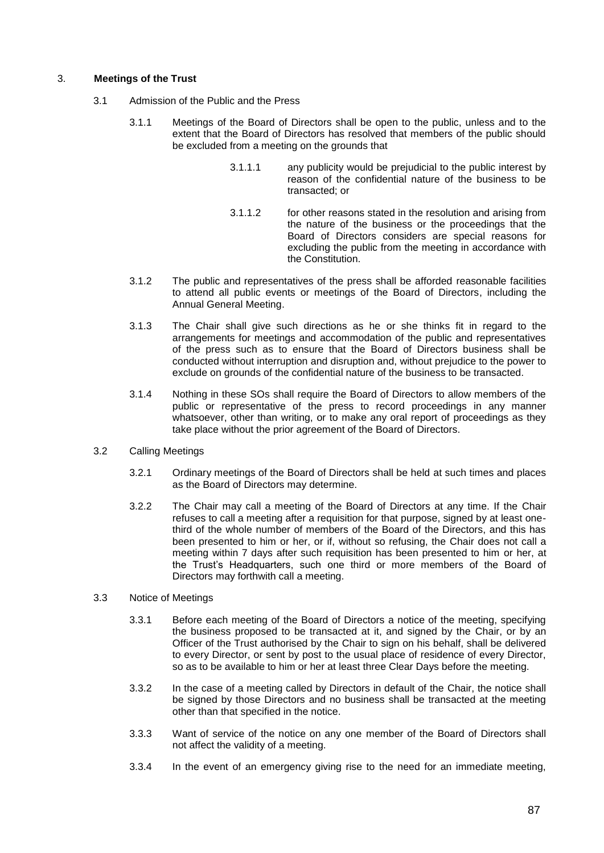# 3. **Meetings of the Trust**

- 3.1 Admission of the Public and the Press
	- 3.1.1 Meetings of the Board of Directors shall be open to the public, unless and to the extent that the Board of Directors has resolved that members of the public should be excluded from a meeting on the grounds that
		- 3.1.1.1 any publicity would be prejudicial to the public interest by reason of the confidential nature of the business to be transacted; or
		- 3.1.1.2 for other reasons stated in the resolution and arising from the nature of the business or the proceedings that the Board of Directors considers are special reasons for excluding the public from the meeting in accordance with the Constitution.
	- 3.1.2 The public and representatives of the press shall be afforded reasonable facilities to attend all public events or meetings of the Board of Directors, including the Annual General Meeting.
	- 3.1.3 The Chair shall give such directions as he or she thinks fit in regard to the arrangements for meetings and accommodation of the public and representatives of the press such as to ensure that the Board of Directors business shall be conducted without interruption and disruption and, without prejudice to the power to exclude on grounds of the confidential nature of the business to be transacted.
	- 3.1.4 Nothing in these SOs shall require the Board of Directors to allow members of the public or representative of the press to record proceedings in any manner whatsoever, other than writing, or to make any oral report of proceedings as they take place without the prior agreement of the Board of Directors.

# 3.2 Calling Meetings

- 3.2.1 Ordinary meetings of the Board of Directors shall be held at such times and places as the Board of Directors may determine.
- 3.2.2 The Chair may call a meeting of the Board of Directors at any time. If the Chair refuses to call a meeting after a requisition for that purpose, signed by at least onethird of the whole number of members of the Board of the Directors, and this has been presented to him or her, or if, without so refusing, the Chair does not call a meeting within 7 days after such requisition has been presented to him or her, at the Trust's Headquarters, such one third or more members of the Board of Directors may forthwith call a meeting.
- 3.3 Notice of Meetings
	- 3.3.1 Before each meeting of the Board of Directors a notice of the meeting, specifying the business proposed to be transacted at it, and signed by the Chair, or by an Officer of the Trust authorised by the Chair to sign on his behalf, shall be delivered to every Director, or sent by post to the usual place of residence of every Director, so as to be available to him or her at least three Clear Days before the meeting.
	- 3.3.2 In the case of a meeting called by Directors in default of the Chair, the notice shall be signed by those Directors and no business shall be transacted at the meeting other than that specified in the notice.
	- 3.3.3 Want of service of the notice on any one member of the Board of Directors shall not affect the validity of a meeting.
	- 3.3.4 In the event of an emergency giving rise to the need for an immediate meeting,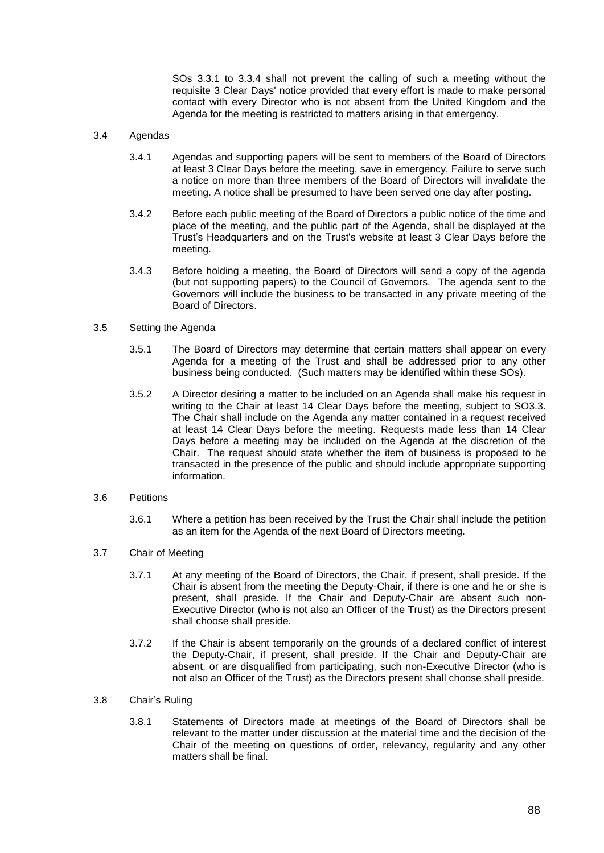SOs 3.3.1 to 3.3.4 shall not prevent the calling of such a meeting without the requisite 3 Clear Days' notice provided that every effort is made to make personal contact with every Director who is not absent from the United Kingdom and the Agenda for the meeting is restricted to matters arising in that emergency.

## 3.4 Agendas

- 3.4.1 Agendas and supporting papers will be sent to members of the Board of Directors at least 3 Clear Days before the meeting, save in emergency. Failure to serve such a notice on more than three members of the Board of Directors will invalidate the meeting. A notice shall be presumed to have been served one day after posting.
- 3.4.2 Before each public meeting of the Board of Directors a public notice of the time and place of the meeting, and the public part of the Agenda, shall be displayed at the Trust's Headquarters and on the Trust's website at least 3 Clear Days before the meeting.
- 3.4.3 Before holding a meeting, the Board of Directors will send a copy of the agenda (but not supporting papers) to the Council of Governors. The agenda sent to the Governors will include the business to be transacted in any private meeting of the Board of Directors.

# 3.5 Setting the Agenda

- 3.5.1 The Board of Directors may determine that certain matters shall appear on every Agenda for a meeting of the Trust and shall be addressed prior to any other business being conducted. (Such matters may be identified within these SOs).
- 3.5.2 A Director desiring a matter to be included on an Agenda shall make his request in writing to the Chair at least 14 Clear Days before the meeting, subject to SO3.3. The Chair shall include on the Agenda any matter contained in a request received at least 14 Clear Days before the meeting. Requests made less than 14 Clear Days before a meeting may be included on the Agenda at the discretion of the Chair. The request should state whether the item of business is proposed to be transacted in the presence of the public and should include appropriate supporting information.

## 3.6 Petitions

- 3.6.1 Where a petition has been received by the Trust the Chair shall include the petition as an item for the Agenda of the next Board of Directors meeting.
- 3.7 Chair of Meeting
	- 3.7.1 At any meeting of the Board of Directors, the Chair, if present, shall preside. If the Chair is absent from the meeting the Deputy-Chair, if there is one and he or she is present, shall preside. If the Chair and Deputy-Chair are absent such non-Executive Director (who is not also an Officer of the Trust) as the Directors present shall choose shall preside.
	- 3.7.2 If the Chair is absent temporarily on the grounds of a declared conflict of interest the Deputy-Chair, if present, shall preside. If the Chair and Deputy-Chair are absent, or are disqualified from participating, such non-Executive Director (who is not also an Officer of the Trust) as the Directors present shall choose shall preside.
- <span id="page-92-0"></span>3.8 Chair's Ruling
	- 3.8.1 Statements of Directors made at meetings of the Board of Directors shall be relevant to the matter under discussion at the material time and the decision of the Chair of the meeting on questions of order, relevancy, regularity and any other matters shall be final.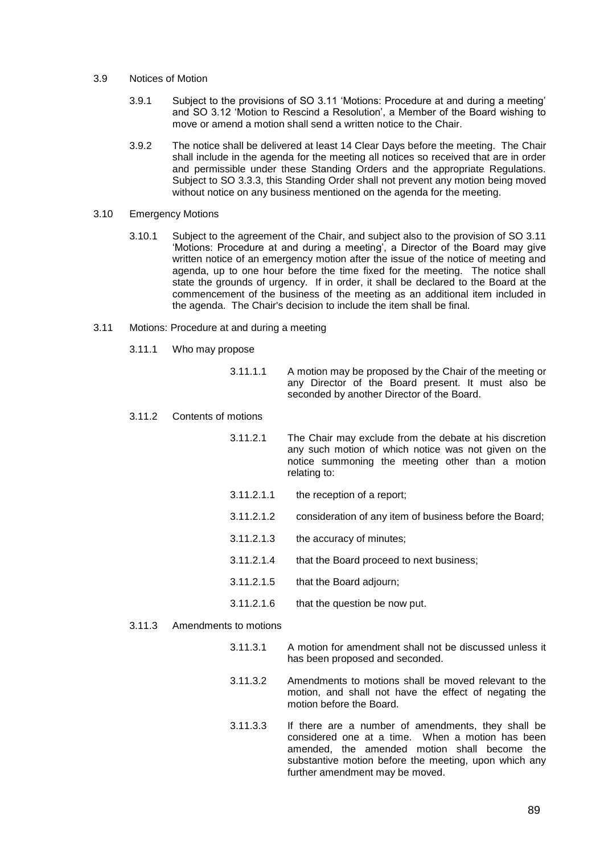#### 3.9 Notices of Motion

- 3.9.1 Subject to the provisions of SO 3.11 'Motions: Procedure at and during a meeting' and SO 3.12 'Motion to Rescind a Resolution', a Member of the Board wishing to move or amend a motion shall send a written notice to the Chair.
- 3.9.2 The notice shall be delivered at least 14 Clear Days before the meeting. The Chair shall include in the agenda for the meeting all notices so received that are in order and permissible under these Standing Orders and the appropriate Regulations. Subject to SO 3.3.3, this Standing Order shall not prevent any motion being moved without notice on any business mentioned on the agenda for the meeting.

## 3.10 Emergency Motions

3.10.1 Subject to the agreement of the Chair, and subject also to the provision of SO 3.11 'Motions: Procedure at and during a meeting', a Director of the Board may give written notice of an emergency motion after the issue of the notice of meeting and agenda, up to one hour before the time fixed for the meeting. The notice shall state the grounds of urgency. If in order, it shall be declared to the Board at the commencement of the business of the meeting as an additional item included in the agenda. The Chair's decision to include the item shall be final.

## 3.11 Motions: Procedure at and during a meeting

- 3.11.1 Who may propose
	- 3.11.1.1 A motion may be proposed by the Chair of the meeting or any Director of the Board present. It must also be seconded by another Director of the Board.

#### 3.11.2 Contents of motions

- 3.11.2.1 The Chair may exclude from the debate at his discretion any such motion of which notice was not given on the notice summoning the meeting other than a motion relating to:
- 3.11.2.1.1 the reception of a report;
- 3.11.2.1.2 consideration of any item of business before the Board;
- 3.11.2.1.3 the accuracy of minutes;
- 3.11.2.1.4 that the Board proceed to next business;
- 3.11.2.1.5 that the Board adjourn;
- 3.11.2.1.6 that the question be now put.

## 3.11.3 Amendments to motions

- 3.11.3.1 A motion for amendment shall not be discussed unless it has been proposed and seconded.
- 3.11.3.2 Amendments to motions shall be moved relevant to the motion, and shall not have the effect of negating the motion before the Board.
- 3.11.3.3 If there are a number of amendments, they shall be considered one at a time. When a motion has been amended, the amended motion shall become the substantive motion before the meeting, upon which any further amendment may be moved.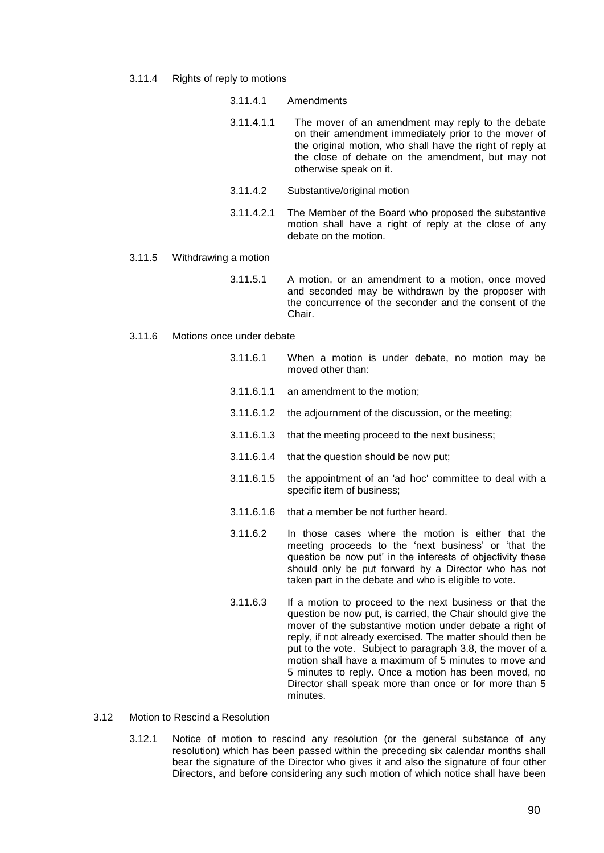3.11.4 Rights of reply to motions

|            | 3.11.4.1 Amendments                                                                                                                                                                                                                                   |
|------------|-------------------------------------------------------------------------------------------------------------------------------------------------------------------------------------------------------------------------------------------------------|
| 3.11.4.1.1 | The mover of an amendment may reply to the debate<br>on their amendment immediately prior to the mover of<br>the original motion, who shall have the right of reply at<br>the close of debate on the amendment, but may not<br>otherwise speak on it. |
| 3.11.4.2   | Substantive/original motion                                                                                                                                                                                                                           |

- 3.11.4.2.1 The Member of the Board who proposed the substantive motion shall have a right of reply at the close of any debate on the motion.
- 3.11.5 Withdrawing a motion
	- 3.11.5.1 A motion, or an amendment to a motion, once moved and seconded may be withdrawn by the proposer with the concurrence of the seconder and the consent of the Chair.

## 3.11.6 Motions once under debate

- 3.11.6.1 When a motion is under debate, no motion may be moved other than:
- 3.11.6.1.1 an amendment to the motion;
- 3.11.6.1.2 the adjournment of the discussion, or the meeting;
- 3.11.6.1.3 that the meeting proceed to the next business;
- 3.11.6.1.4 that the question should be now put;
- 3.11.6.1.5 the appointment of an 'ad hoc' committee to deal with a specific item of business;
- 3.11.6.1.6 that a member be not further heard.
- 3.11.6.2 In those cases where the motion is either that the meeting proceeds to the 'next business' or 'that the question be now put' in the interests of objectivity these should only be put forward by a Director who has not taken part in the debate and who is eligible to vote.
- 3.11.6.3 If a motion to proceed to the next business or that the question be now put, is carried, the Chair should give the mover of the substantive motion under debate a right of reply, if not already exercised. The matter should then be put to the vote. Subject to paragraph [3.8,](#page-92-0) the mover of a motion shall have a maximum of 5 minutes to move and 5 minutes to reply. Once a motion has been moved, no Director shall speak more than once or for more than 5 minutes.
- 3.12 Motion to Rescind a Resolution
	- 3.12.1 Notice of motion to rescind any resolution (or the general substance of any resolution) which has been passed within the preceding six calendar months shall bear the signature of the Director who gives it and also the signature of four other Directors, and before considering any such motion of which notice shall have been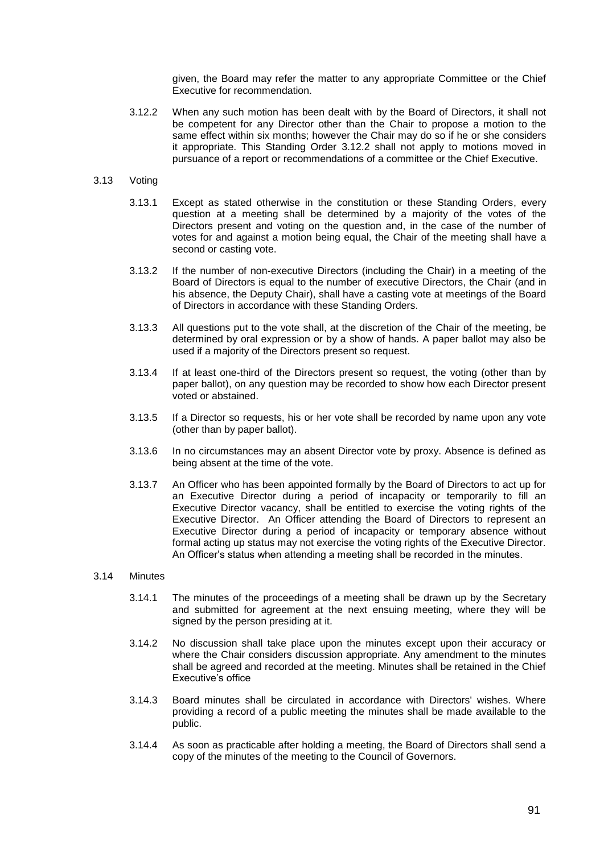given, the Board may refer the matter to any appropriate Committee or the Chief Executive for recommendation.

<span id="page-95-0"></span>3.12.2 When any such motion has been dealt with by the Board of Directors, it shall not be competent for any Director other than the Chair to propose a motion to the same effect within six months; however the Chair may do so if he or she considers it appropriate. This Standing Order [3.12.2](#page-95-0) shall not apply to motions moved in pursuance of a report or recommendations of a committee or the Chief Executive.

## 3.13 Voting

- 3.13.1 Except as stated otherwise in the constitution or these Standing Orders, every question at a meeting shall be determined by a majority of the votes of the Directors present and voting on the question and, in the case of the number of votes for and against a motion being equal, the Chair of the meeting shall have a second or casting vote.
- 3.13.2 If the number of non-executive Directors (including the Chair) in a meeting of the Board of Directors is equal to the number of executive Directors, the Chair (and in his absence, the Deputy Chair), shall have a casting vote at meetings of the Board of Directors in accordance with these Standing Orders.
- 3.13.3 All questions put to the vote shall, at the discretion of the Chair of the meeting, be determined by oral expression or by a show of hands. A paper ballot may also be used if a majority of the Directors present so request.
- 3.13.4 If at least one-third of the Directors present so request, the voting (other than by paper ballot), on any question may be recorded to show how each Director present voted or abstained.
- 3.13.5 If a Director so requests, his or her vote shall be recorded by name upon any vote (other than by paper ballot).
- 3.13.6 In no circumstances may an absent Director vote by proxy. Absence is defined as being absent at the time of the vote.
- 3.13.7 An Officer who has been appointed formally by the Board of Directors to act up for an Executive Director during a period of incapacity or temporarily to fill an Executive Director vacancy, shall be entitled to exercise the voting rights of the Executive Director. An Officer attending the Board of Directors to represent an Executive Director during a period of incapacity or temporary absence without formal acting up status may not exercise the voting rights of the Executive Director. An Officer's status when attending a meeting shall be recorded in the minutes.

## 3.14 Minutes

- 3.14.1 The minutes of the proceedings of a meeting shall be drawn up by the Secretary and submitted for agreement at the next ensuing meeting, where they will be signed by the person presiding at it.
- 3.14.2 No discussion shall take place upon the minutes except upon their accuracy or where the Chair considers discussion appropriate. Any amendment to the minutes shall be agreed and recorded at the meeting. Minutes shall be retained in the Chief Executive's office
- 3.14.3 Board minutes shall be circulated in accordance with Directors' wishes. Where providing a record of a public meeting the minutes shall be made available to the public.
- 3.14.4 As soon as practicable after holding a meeting, the Board of Directors shall send a copy of the minutes of the meeting to the Council of Governors.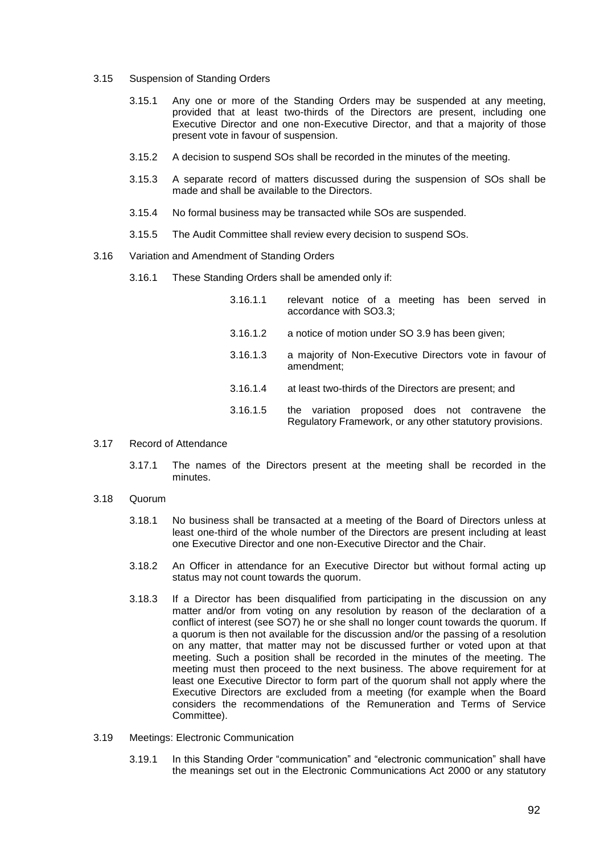- 3.15 Suspension of Standing Orders
	- 3.15.1 Any one or more of the Standing Orders may be suspended at any meeting, provided that at least two-thirds of the Directors are present, including one Executive Director and one non-Executive Director, and that a majority of those present vote in favour of suspension.
	- 3.15.2 A decision to suspend SOs shall be recorded in the minutes of the meeting.
	- 3.15.3 A separate record of matters discussed during the suspension of SOs shall be made and shall be available to the Directors.
	- 3.15.4 No formal business may be transacted while SOs are suspended.
	- 3.15.5 The Audit Committee shall review every decision to suspend SOs.

#### 3.16 Variation and Amendment of Standing Orders

- 3.16.1 These Standing Orders shall be amended only if:
	- 3.16.1.1 relevant notice of a meeting has been served in accordance with SO3.3; 3.16.1.2 a notice of motion under SO 3.9 has been given; 3.16.1.3 a majority of Non-Executive Directors vote in favour of amendment; 3.16.1.4 at least two-thirds of the Directors are present; and 3.16.1.5 the variation proposed does not contravene the Regulatory Framework, or any other statutory provisions.
- 3.17 Record of Attendance
	- 3.17.1 The names of the Directors present at the meeting shall be recorded in the minutes.
- 3.18 Quorum
	- 3.18.1 No business shall be transacted at a meeting of the Board of Directors unless at least one-third of the whole number of the Directors are present including at least one Executive Director and one non-Executive Director and the Chair.
	- 3.18.2 An Officer in attendance for an Executive Director but without formal acting up status may not count towards the quorum.
	- 3.18.3 If a Director has been disqualified from participating in the discussion on any matter and/or from voting on any resolution by reason of the declaration of a conflict of interest (see SO7) he or she shall no longer count towards the quorum. If a quorum is then not available for the discussion and/or the passing of a resolution on any matter, that matter may not be discussed further or voted upon at that meeting. Such a position shall be recorded in the minutes of the meeting. The meeting must then proceed to the next business. The above requirement for at least one Executive Director to form part of the quorum shall not apply where the Executive Directors are excluded from a meeting (for example when the Board considers the recommendations of the Remuneration and Terms of Service Committee).
- 3.19 Meetings: Electronic Communication
	- 3.19.1 In this Standing Order "communication" and "electronic communication" shall have the meanings set out in the Electronic Communications Act 2000 or any statutory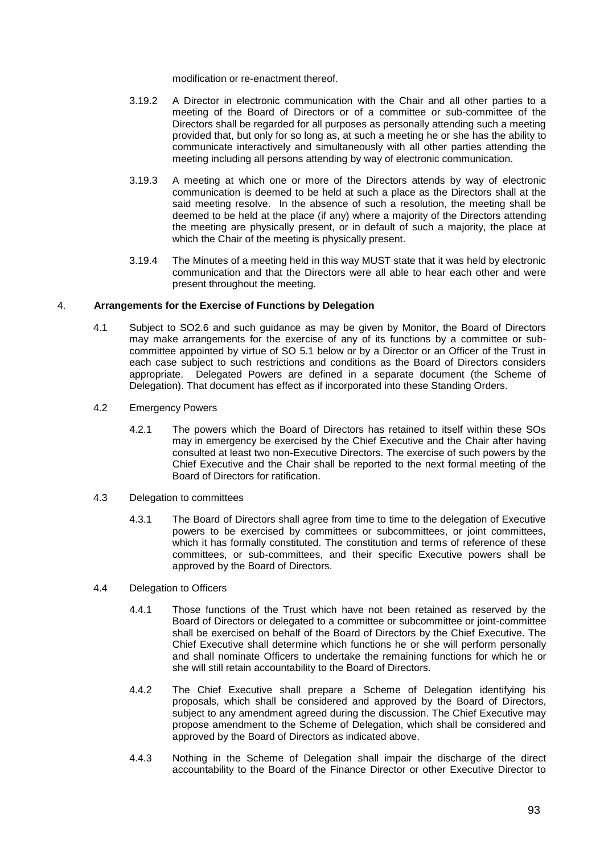modification or re-enactment thereof.

- 3.19.2 A Director in electronic communication with the Chair and all other parties to a meeting of the Board of Directors or of a committee or sub-committee of the Directors shall be regarded for all purposes as personally attending such a meeting provided that, but only for so long as, at such a meeting he or she has the ability to communicate interactively and simultaneously with all other parties attending the meeting including all persons attending by way of electronic communication.
- 3.19.3 A meeting at which one or more of the Directors attends by way of electronic communication is deemed to be held at such a place as the Directors shall at the said meeting resolve. In the absence of such a resolution, the meeting shall be deemed to be held at the place (if any) where a majority of the Directors attending the meeting are physically present, or in default of such a majority, the place at which the Chair of the meeting is physically present.
- 3.19.4 The Minutes of a meeting held in this way MUST state that it was held by electronic communication and that the Directors were all able to hear each other and were present throughout the meeting.

# 4. **Arrangements for the Exercise of Functions by Delegation**

- 4.1 Subject to SO2.6 and such guidance as may be given by Monitor, the Board of Directors may make arrangements for the exercise of any of its functions by a committee or subcommittee appointed by virtue of SO 5.1 below or by a Director or an Officer of the Trust in each case subject to such restrictions and conditions as the Board of Directors considers appropriate. Delegated Powers are defined in a separate document (the Scheme of Delegation). That document has effect as if incorporated into these Standing Orders.
- 4.2 Emergency Powers
	- 4.2.1 The powers which the Board of Directors has retained to itself within these SOs may in emergency be exercised by the Chief Executive and the Chair after having consulted at least two non-Executive Directors. The exercise of such powers by the Chief Executive and the Chair shall be reported to the next formal meeting of the Board of Directors for ratification.
- 4.3 Delegation to committees
	- 4.3.1 The Board of Directors shall agree from time to time to the delegation of Executive powers to be exercised by committees or subcommittees, or joint committees, which it has formally constituted. The constitution and terms of reference of these committees, or sub-committees, and their specific Executive powers shall be approved by the Board of Directors.
- 4.4 Delegation to Officers
	- 4.4.1 Those functions of the Trust which have not been retained as reserved by the Board of Directors or delegated to a committee or subcommittee or joint-committee shall be exercised on behalf of the Board of Directors by the Chief Executive. The Chief Executive shall determine which functions he or she will perform personally and shall nominate Officers to undertake the remaining functions for which he or she will still retain accountability to the Board of Directors.
	- 4.4.2 The Chief Executive shall prepare a Scheme of Delegation identifying his proposals, which shall be considered and approved by the Board of Directors, subject to any amendment agreed during the discussion. The Chief Executive may propose amendment to the Scheme of Delegation, which shall be considered and approved by the Board of Directors as indicated above.
	- 4.4.3 Nothing in the Scheme of Delegation shall impair the discharge of the direct accountability to the Board of the Finance Director or other Executive Director to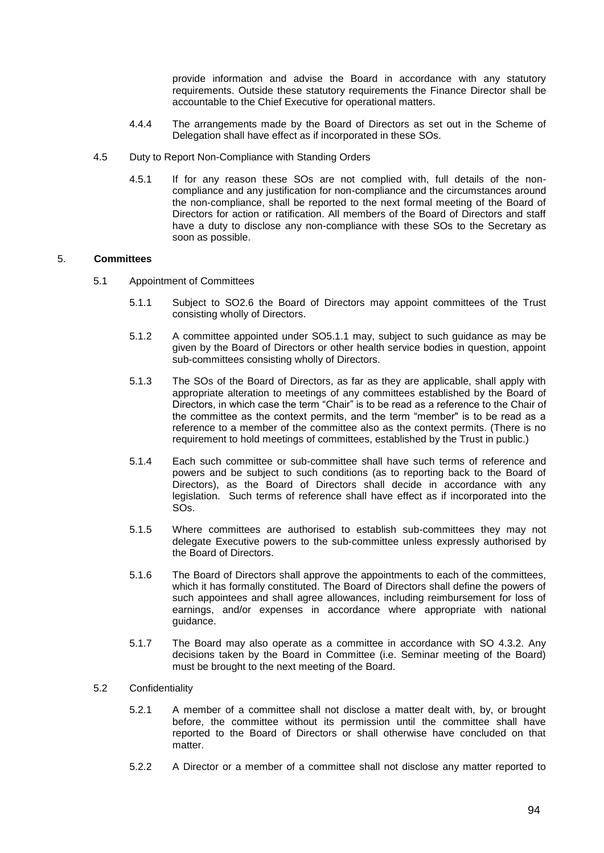provide information and advise the Board in accordance with any statutory requirements. Outside these statutory requirements the Finance Director shall be accountable to the Chief Executive for operational matters.

- 4.4.4 The arrangements made by the Board of Directors as set out in the Scheme of Delegation shall have effect as if incorporated in these SOs.
- 4.5 Duty to Report Non-Compliance with Standing Orders
	- 4.5.1 If for any reason these SOs are not complied with, full details of the noncompliance and any justification for non-compliance and the circumstances around the non-compliance, shall be reported to the next formal meeting of the Board of Directors for action or ratification. All members of the Board of Directors and staff have a duty to disclose any non-compliance with these SOs to the Secretary as soon as possible.

# 5. **Committees**

- 5.1 Appointment of Committees
	- 5.1.1 Subject to SO2.6 the Board of Directors may appoint committees of the Trust consisting wholly of Directors.
	- 5.1.2 A committee appointed under SO5.1.1 may, subject to such guidance as may be given by the Board of Directors or other health service bodies in question, appoint sub-committees consisting wholly of Directors.
	- 5.1.3 The SOs of the Board of Directors, as far as they are applicable, shall apply with appropriate alteration to meetings of any committees established by the Board of Directors, in which case the term "Chair" is to be read as a reference to the Chair of the committee as the context permits, and the term "member" is to be read as a reference to a member of the committee also as the context permits. (There is no requirement to hold meetings of committees, established by the Trust in public.)
	- 5.1.4 Each such committee or sub-committee shall have such terms of reference and powers and be subject to such conditions (as to reporting back to the Board of Directors), as the Board of Directors shall decide in accordance with any legislation. Such terms of reference shall have effect as if incorporated into the SOs.
	- 5.1.5 Where committees are authorised to establish sub-committees they may not delegate Executive powers to the sub-committee unless expressly authorised by the Board of Directors.
	- 5.1.6 The Board of Directors shall approve the appointments to each of the committees, which it has formally constituted. The Board of Directors shall define the powers of such appointees and shall agree allowances, including reimbursement for loss of earnings, and/or expenses in accordance where appropriate with national guidance.
	- 5.1.7 The Board may also operate as a committee in accordance with SO 4.3.2. Any decisions taken by the Board in Committee (i.e. Seminar meeting of the Board) must be brought to the next meeting of the Board.

## 5.2 Confidentiality

- 5.2.1 A member of a committee shall not disclose a matter dealt with, by, or brought before, the committee without its permission until the committee shall have reported to the Board of Directors or shall otherwise have concluded on that matter.
- 5.2.2 A Director or a member of a committee shall not disclose any matter reported to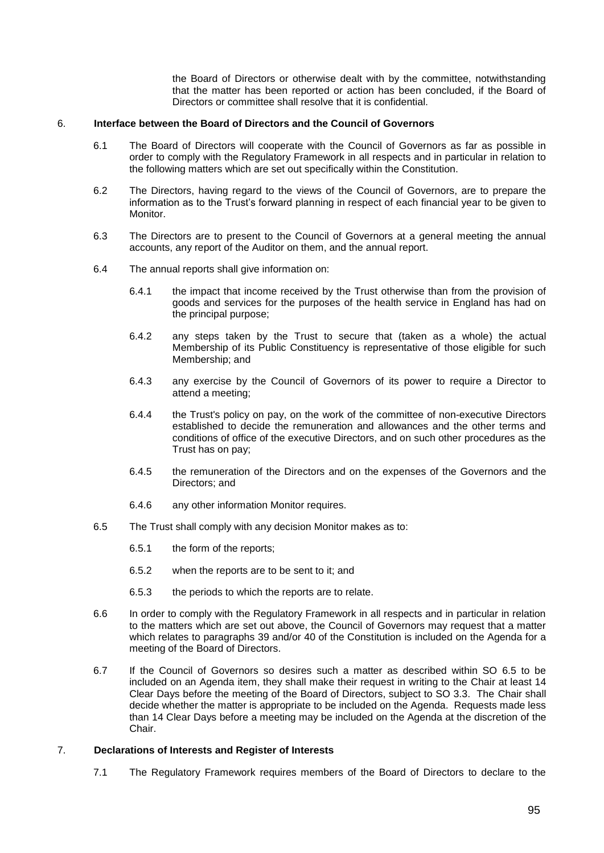the Board of Directors or otherwise dealt with by the committee, notwithstanding that the matter has been reported or action has been concluded, if the Board of Directors or committee shall resolve that it is confidential.

#### 6. **Interface between the Board of Directors and the Council of Governors**

- 6.1 The Board of Directors will cooperate with the Council of Governors as far as possible in order to comply with the Regulatory Framework in all respects and in particular in relation to the following matters which are set out specifically within the Constitution.
- 6.2 The Directors, having regard to the views of the Council of Governors, are to prepare the information as to the Trust's forward planning in respect of each financial year to be given to Monitor.
- 6.3 The Directors are to present to the Council of Governors at a general meeting the annual accounts, any report of the Auditor on them, and the annual report.
- 6.4 The annual reports shall give information on:
	- 6.4.1 the impact that income received by the Trust otherwise than from the provision of goods and services for the purposes of the health service in England has had on the principal purpose;
	- 6.4.2 any steps taken by the Trust to secure that (taken as a whole) the actual Membership of its Public Constituency is representative of those eligible for such Membership; and
	- 6.4.3 any exercise by the Council of Governors of its power to require a Director to attend a meeting;
	- 6.4.4 the Trust's policy on pay, on the work of the committee of non-executive Directors established to decide the remuneration and allowances and the other terms and conditions of office of the executive Directors, and on such other procedures as the Trust has on pay;
	- 6.4.5 the remuneration of the Directors and on the expenses of the Governors and the Directors; and
	- 6.4.6 any other information Monitor requires.
- 6.5 The Trust shall comply with any decision Monitor makes as to:
	- 6.5.1 the form of the reports;
	- 6.5.2 when the reports are to be sent to it; and
	- 6.5.3 the periods to which the reports are to relate.
- 6.6 In order to comply with the Regulatory Framework in all respects and in particular in relation to the matters which are set out above, the Council of Governors may request that a matter which relates to paragraphs 39 and/or 40 of the Constitution is included on the Agenda for a meeting of the Board of Directors.
- 6.7 If the Council of Governors so desires such a matter as described within SO 6.5 to be included on an Agenda item, they shall make their request in writing to the Chair at least 14 Clear Days before the meeting of the Board of Directors, subject to SO 3.3. The Chair shall decide whether the matter is appropriate to be included on the Agenda. Requests made less than 14 Clear Days before a meeting may be included on the Agenda at the discretion of the Chair.

# 7. **Declarations of Interests and Register of Interests**

7.1 The Regulatory Framework requires members of the Board of Directors to declare to the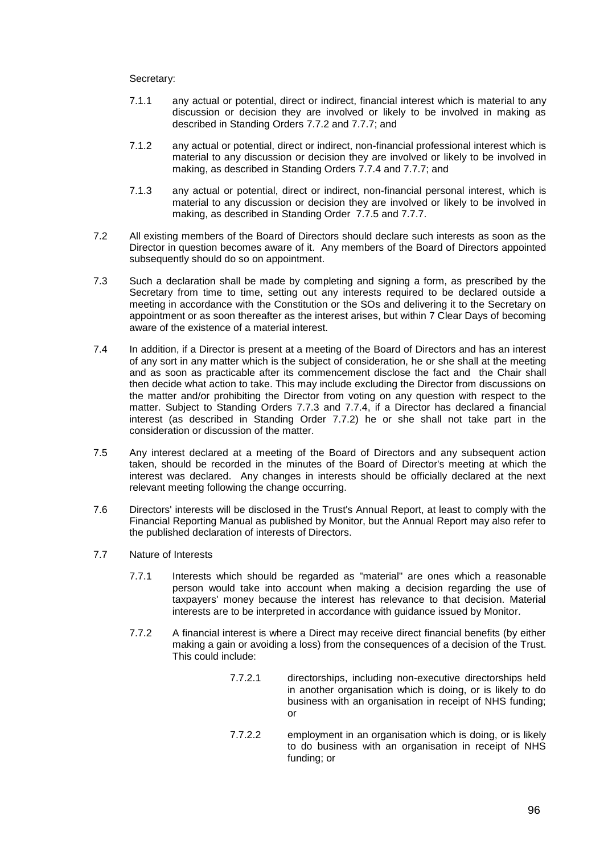# Secretary:

- 7.1.1 any actual or potential, direct or indirect, financial interest which is material to any discussion or decision they are involved or likely to be involved in making as described in Standing Orders 7.7.2 and 7.7.7; and
- 7.1.2 any actual or potential, direct or indirect, non-financial professional interest which is material to any discussion or decision they are involved or likely to be involved in making, as described in Standing Orders 7.7.4 and 7.7.7; and
- 7.1.3 any actual or potential, direct or indirect, non-financial personal interest, which is material to any discussion or decision they are involved or likely to be involved in making, as described in Standing Order 7.7.5 and 7.7.7.
- 7.2 All existing members of the Board of Directors should declare such interests as soon as the Director in question becomes aware of it. Any members of the Board of Directors appointed subsequently should do so on appointment.
- 7.3 Such a declaration shall be made by completing and signing a form, as prescribed by the Secretary from time to time, setting out any interests required to be declared outside a meeting in accordance with the Constitution or the SOs and delivering it to the Secretary on appointment or as soon thereafter as the interest arises, but within 7 Clear Days of becoming aware of the existence of a material interest.
- 7.4 In addition, if a Director is present at a meeting of the Board of Directors and has an interest of any sort in any matter which is the subject of consideration, he or she shall at the meeting and as soon as practicable after its commencement disclose the fact and the Chair shall then decide what action to take. This may include excluding the Director from discussions on the matter and/or prohibiting the Director from voting on any question with respect to the matter. Subject to Standing Orders 7.7.3 and 7.7.4, if a Director has declared a financial interest (as described in Standing Order 7.7.2) he or she shall not take part in the consideration or discussion of the matter.
- 7.5 Any interest declared at a meeting of the Board of Directors and any subsequent action taken, should be recorded in the minutes of the Board of Director's meeting at which the interest was declared. Any changes in interests should be officially declared at the next relevant meeting following the change occurring.
- 7.6 Directors' interests will be disclosed in the Trust's Annual Report, at least to comply with the Financial Reporting Manual as published by Monitor, but the Annual Report may also refer to the published declaration of interests of Directors.
- 7.7 Nature of Interests
	- 7.7.1 Interests which should be regarded as "material" are ones which a reasonable person would take into account when making a decision regarding the use of taxpayers' money because the interest has relevance to that decision. Material interests are to be interpreted in accordance with guidance issued by Monitor.
	- 7.7.2 A financial interest is where a Direct may receive direct financial benefits (by either making a gain or avoiding a loss) from the consequences of a decision of the Trust. This could include:
		- 7.7.2.1 directorships, including non-executive directorships held in another organisation which is doing, or is likely to do business with an organisation in receipt of NHS funding; or
		- 7.7.2.2 employment in an organisation which is doing, or is likely to do business with an organisation in receipt of NHS funding; or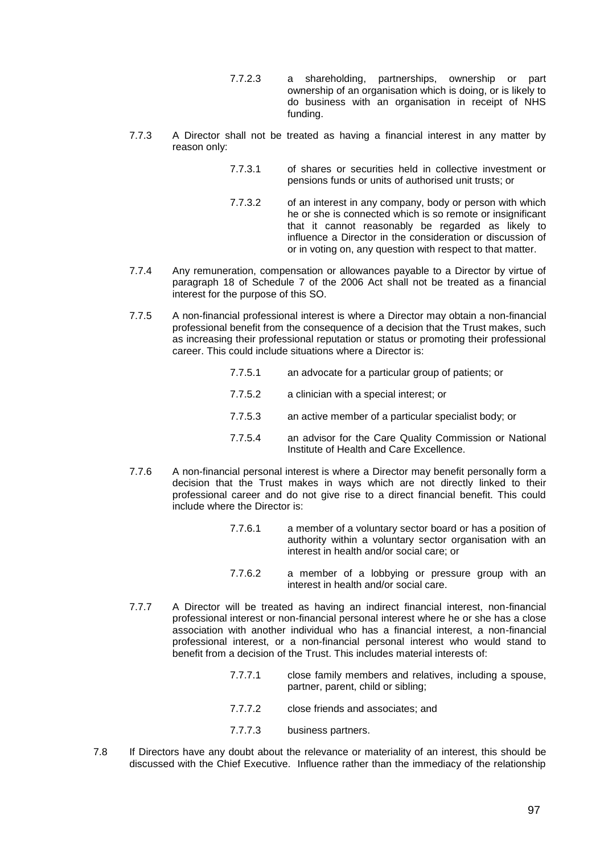- 7.7.2.3 a shareholding, partnerships, ownership or part ownership of an organisation which is doing, or is likely to do business with an organisation in receipt of NHS funding.
- 7.7.3 A Director shall not be treated as having a financial interest in any matter by reason only:
	- 7.7.3.1 of shares or securities held in collective investment or pensions funds or units of authorised unit trusts; or
	- 7.7.3.2 of an interest in any company, body or person with which he or she is connected which is so remote or insignificant that it cannot reasonably be regarded as likely to influence a Director in the consideration or discussion of or in voting on, any question with respect to that matter.
- 7.7.4 Any remuneration, compensation or allowances payable to a Director by virtue of paragraph 18 of Schedule 7 of the 2006 Act shall not be treated as a financial interest for the purpose of this SO.
- 7.7.5 A non-financial professional interest is where a Director may obtain a non-financial professional benefit from the consequence of a decision that the Trust makes, such as increasing their professional reputation or status or promoting their professional career. This could include situations where a Director is:
	- 7.7.5.1 an advocate for a particular group of patients; or
	- 7.7.5.2 a clinician with a special interest; or
	- 7.7.5.3 an active member of a particular specialist body; or
	- 7.7.5.4 an advisor for the Care Quality Commission or National Institute of Health and Care Excellence.
- 7.7.6 A non-financial personal interest is where a Director may benefit personally form a decision that the Trust makes in ways which are not directly linked to their professional career and do not give rise to a direct financial benefit. This could include where the Director is:
	- 7.7.6.1 a member of a voluntary sector board or has a position of authority within a voluntary sector organisation with an interest in health and/or social care; or
	- 7.7.6.2 a member of a lobbying or pressure group with an interest in health and/or social care.
- 7.7.7 A Director will be treated as having an indirect financial interest, non-financial professional interest or non-financial personal interest where he or she has a close association with another individual who has a financial interest, a non-financial professional interest, or a non-financial personal interest who would stand to benefit from a decision of the Trust. This includes material interests of:
	- 7.7.7.1 close family members and relatives, including a spouse, partner, parent, child or sibling;
	- 7.7.7.2 close friends and associates; and
	- 7.7.7.3 business partners.
- 7.8 If Directors have any doubt about the relevance or materiality of an interest, this should be discussed with the Chief Executive. Influence rather than the immediacy of the relationship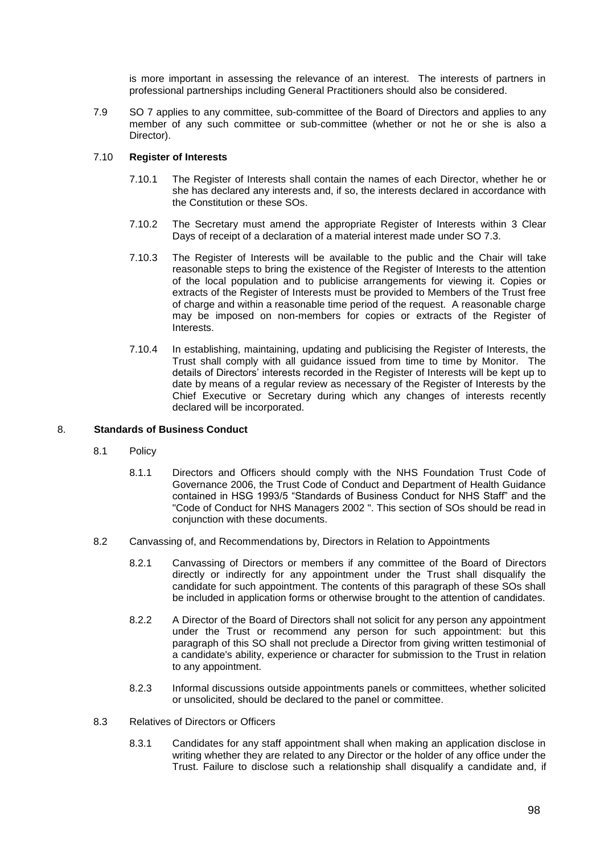is more important in assessing the relevance of an interest. The interests of partners in professional partnerships including General Practitioners should also be considered.

7.9 SO 7 applies to any committee, sub-committee of the Board of Directors and applies to any member of any such committee or sub-committee (whether or not he or she is also a Director).

# 7.10 **Register of Interests**

- 7.10.1 The Register of Interests shall contain the names of each Director, whether he or she has declared any interests and, if so, the interests declared in accordance with the Constitution or these SOs.
- 7.10.2 The Secretary must amend the appropriate Register of Interests within 3 Clear Days of receipt of a declaration of a material interest made under SO 7.3.
- 7.10.3 The Register of Interests will be available to the public and the Chair will take reasonable steps to bring the existence of the Register of Interests to the attention of the local population and to publicise arrangements for viewing it. Copies or extracts of the Register of Interests must be provided to Members of the Trust free of charge and within a reasonable time period of the request. A reasonable charge may be imposed on non-members for copies or extracts of the Register of Interests.
- 7.10.4 In establishing, maintaining, updating and publicising the Register of Interests, the Trust shall comply with all guidance issued from time to time by Monitor. The details of Directors' interests recorded in the Register of Interests will be kept up to date by means of a regular review as necessary of the Register of Interests by the Chief Executive or Secretary during which any changes of interests recently declared will be incorporated.

## 8. **Standards of Business Conduct**

- 8.1 Policy
	- 8.1.1 Directors and Officers should comply with the NHS Foundation Trust Code of Governance 2006, the Trust Code of Conduct and Department of Health Guidance contained in HSG 1993/5 "Standards of Business Conduct for NHS Staff" and the "Code of Conduct for NHS Managers 2002 ". This section of SOs should be read in conjunction with these documents.
- 8.2 Canvassing of, and Recommendations by, Directors in Relation to Appointments
	- 8.2.1 Canvassing of Directors or members if any committee of the Board of Directors directly or indirectly for any appointment under the Trust shall disqualify the candidate for such appointment. The contents of this paragraph of these SOs shall be included in application forms or otherwise brought to the attention of candidates.
	- 8.2.2 A Director of the Board of Directors shall not solicit for any person any appointment under the Trust or recommend any person for such appointment: but this paragraph of this SO shall not preclude a Director from giving written testimonial of a candidate's ability, experience or character for submission to the Trust in relation to any appointment.
	- 8.2.3 Informal discussions outside appointments panels or committees, whether solicited or unsolicited, should be declared to the panel or committee.
- 8.3 Relatives of Directors or Officers
	- 8.3.1 Candidates for any staff appointment shall when making an application disclose in writing whether they are related to any Director or the holder of any office under the Trust. Failure to disclose such a relationship shall disqualify a candidate and, if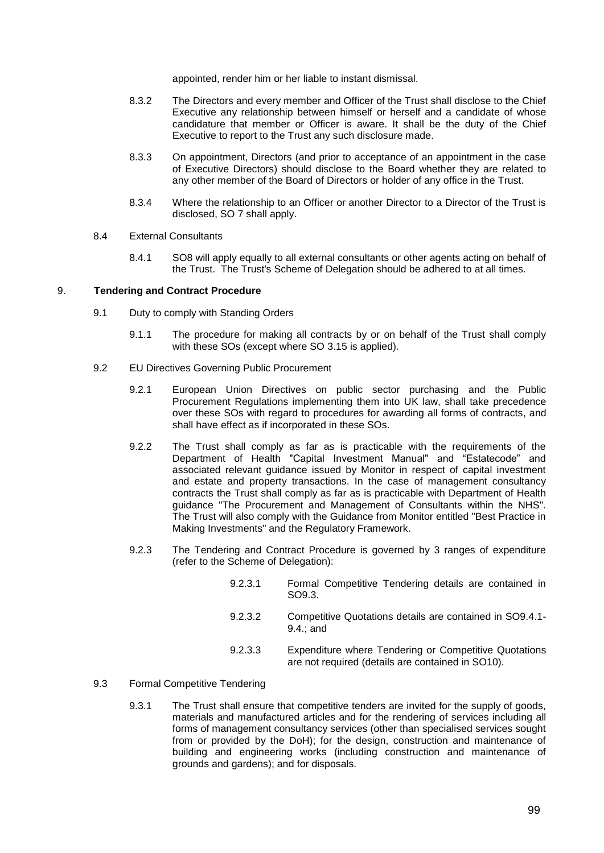appointed, render him or her liable to instant dismissal.

- 8.3.2 The Directors and every member and Officer of the Trust shall disclose to the Chief Executive any relationship between himself or herself and a candidate of whose candidature that member or Officer is aware. It shall be the duty of the Chief Executive to report to the Trust any such disclosure made.
- 8.3.3 On appointment, Directors (and prior to acceptance of an appointment in the case of Executive Directors) should disclose to the Board whether they are related to any other member of the Board of Directors or holder of any office in the Trust.
- 8.3.4 Where the relationship to an Officer or another Director to a Director of the Trust is disclosed, SO 7 shall apply.

## 8.4 External Consultants

8.4.1 SO8 will apply equally to all external consultants or other agents acting on behalf of the Trust. The Trust's Scheme of Delegation should be adhered to at all times.

## 9. **Tendering and Contract Procedure**

- 9.1 Duty to comply with Standing Orders
	- 9.1.1 The procedure for making all contracts by or on behalf of the Trust shall comply with these SOs (except where SO 3.15 is applied).
- 9.2 EU Directives Governing Public Procurement
	- 9.2.1 European Union Directives on public sector purchasing and the Public Procurement Regulations implementing them into UK law, shall take precedence over these SOs with regard to procedures for awarding all forms of contracts, and shall have effect as if incorporated in these SOs.
	- 9.2.2 The Trust shall comply as far as is practicable with the requirements of the Department of Health "Capital Investment Manual" and "Estatecode" and associated relevant guidance issued by Monitor in respect of capital investment and estate and property transactions. In the case of management consultancy contracts the Trust shall comply as far as is practicable with Department of Health guidance "The Procurement and Management of Consultants within the NHS". The Trust will also comply with the Guidance from Monitor entitled "Best Practice in Making Investments" and the Regulatory Framework.
	- 9.2.3 The Tendering and Contract Procedure is governed by 3 ranges of expenditure (refer to the Scheme of Delegation):
		- 9.2.3.1 Formal Competitive Tendering details are contained in SO9.3.
		- 9.2.3.2 Competitive Quotations details are contained in SO9.4.1- 9.4.; and
		- 9.2.3.3 Expenditure where Tendering or Competitive Quotations are not required (details are contained in SO10).
- 9.3 Formal Competitive Tendering
	- 9.3.1 The Trust shall ensure that competitive tenders are invited for the supply of goods, materials and manufactured articles and for the rendering of services including all forms of management consultancy services (other than specialised services sought from or provided by the DoH); for the design, construction and maintenance of building and engineering works (including construction and maintenance of grounds and gardens); and for disposals.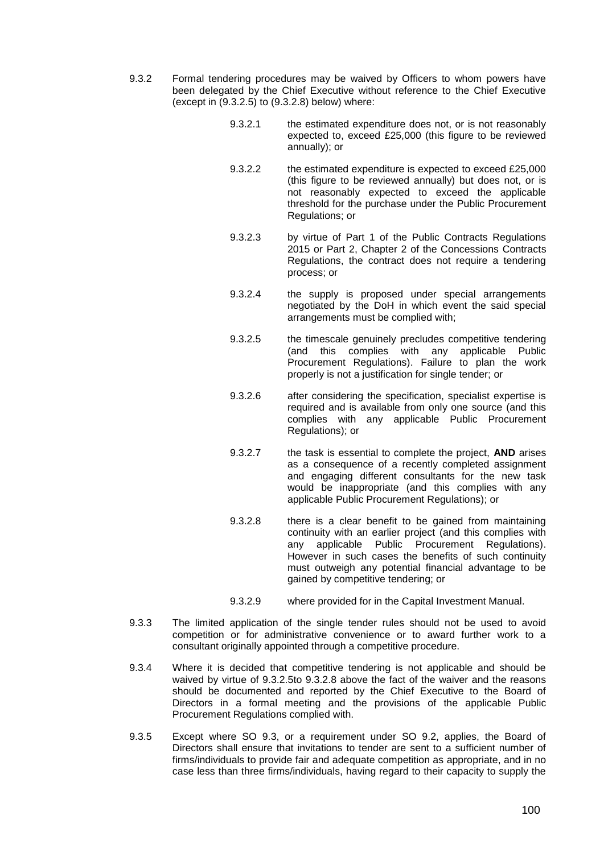- <span id="page-104-0"></span>9.3.2 Formal tendering procedures may be waived by Officers to whom powers have been delegated by the Chief Executive without reference to the Chief Executive (except in [\(9.3.2.5\)](#page-104-0) to [\(9.3.2.8\)](#page-104-1) below) where:
	- 9.3.2.1 the estimated expenditure does not, or is not reasonably expected to, exceed £25,000 (this figure to be reviewed annually); or
	- 9.3.2.2 the estimated expenditure is expected to exceed £25,000 (this figure to be reviewed annually) but does not, or is not reasonably expected to exceed the applicable threshold for the purchase under the Public Procurement Regulations; or
	- 9.3.2.3 by virtue of Part 1 of the Public Contracts Regulations 2015 or Part 2, Chapter 2 of the Concessions Contracts Regulations, the contract does not require a tendering process; or
	- 9.3.2.4 the supply is proposed under special arrangements negotiated by the DoH in which event the said special arrangements must be complied with;
	- 9.3.2.5 the timescale genuinely precludes competitive tendering (and this complies with any applicable Public Procurement Regulations). Failure to plan the work properly is not a justification for single tender; or
	- 9.3.2.6 after considering the specification, specialist expertise is required and is available from only one source (and this complies with any applicable Public Procurement Regulations); or
	- 9.3.2.7 the task is essential to complete the project, **AND** arises as a consequence of a recently completed assignment and engaging different consultants for the new task would be inappropriate (and this complies with any applicable Public Procurement Regulations); or
	- 9.3.2.8 there is a clear benefit to be gained from maintaining continuity with an earlier project (and this complies with any applicable Public Procurement Regulations). However in such cases the benefits of such continuity must outweigh any potential financial advantage to be gained by competitive tendering; or
	- 9.3.2.9 where provided for in the Capital Investment Manual.
- <span id="page-104-1"></span>9.3.3 The limited application of the single tender rules should not be used to avoid competition or for administrative convenience or to award further work to a consultant originally appointed through a competitive procedure.
- 9.3.4 Where it is decided that competitive tendering is not applicable and should be waived by virtue of [9.3.2.5t](#page-104-0)o [9.3.2.8](#page-104-1) above the fact of the waiver and the reasons should be documented and reported by the Chief Executive to the Board of Directors in a formal meeting and the provisions of the applicable Public Procurement Regulations complied with.
- 9.3.5 Except where SO 9.3, or a requirement under SO 9.2, applies, the Board of Directors shall ensure that invitations to tender are sent to a sufficient number of firms/individuals to provide fair and adequate competition as appropriate, and in no case less than three firms/individuals, having regard to their capacity to supply the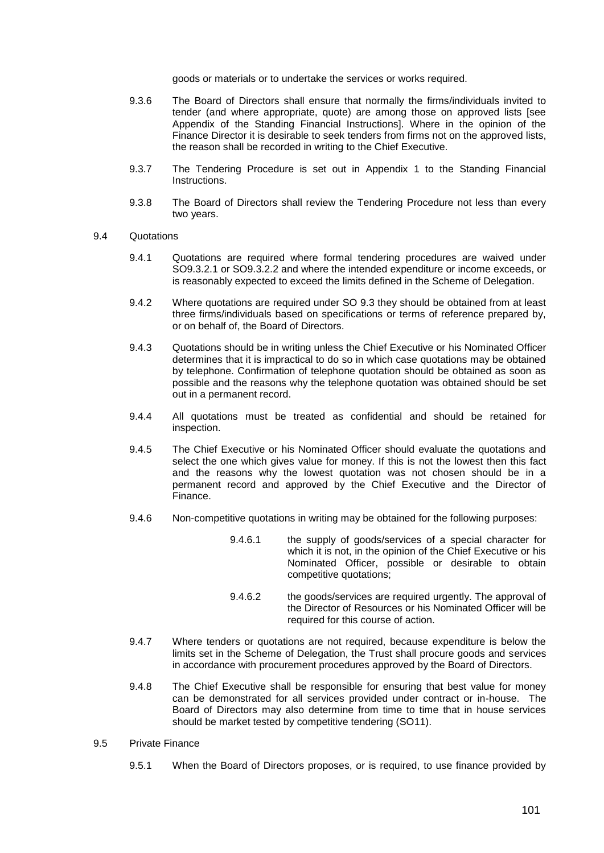goods or materials or to undertake the services or works required.

- 9.3.6 The Board of Directors shall ensure that normally the firms/individuals invited to tender (and where appropriate, quote) are among those on approved lists [see Appendix of the Standing Financial Instructions]. Where in the opinion of the Finance Director it is desirable to seek tenders from firms not on the approved lists, the reason shall be recorded in writing to the Chief Executive.
- 9.3.7 The Tendering Procedure is set out in Appendix 1 to the Standing Financial **Instructions**
- 9.3.8 The Board of Directors shall review the Tendering Procedure not less than every two years.
- 9.4 Quotations
	- 9.4.1 Quotations are required where formal tendering procedures are waived under SO9.3.2.1 or SO9.3.2.2 and where the intended expenditure or income exceeds, or is reasonably expected to exceed the limits defined in the Scheme of Delegation.
	- 9.4.2 Where quotations are required under SO 9.3 they should be obtained from at least three firms/individuals based on specifications or terms of reference prepared by, or on behalf of, the Board of Directors.
	- 9.4.3 Quotations should be in writing unless the Chief Executive or his Nominated Officer determines that it is impractical to do so in which case quotations may be obtained by telephone. Confirmation of telephone quotation should be obtained as soon as possible and the reasons why the telephone quotation was obtained should be set out in a permanent record.
	- 9.4.4 All quotations must be treated as confidential and should be retained for inspection.
	- 9.4.5 The Chief Executive or his Nominated Officer should evaluate the quotations and select the one which gives value for money. If this is not the lowest then this fact and the reasons why the lowest quotation was not chosen should be in a permanent record and approved by the Chief Executive and the Director of Finance.
	- 9.4.6 Non-competitive quotations in writing may be obtained for the following purposes:
		- 9.4.6.1 the supply of goods/services of a special character for which it is not, in the opinion of the Chief Executive or his Nominated Officer, possible or desirable to obtain competitive quotations;
		- 9.4.6.2 the goods/services are required urgently. The approval of the Director of Resources or his Nominated Officer will be required for this course of action.
	- 9.4.7 Where tenders or quotations are not required, because expenditure is below the limits set in the Scheme of Delegation, the Trust shall procure goods and services in accordance with procurement procedures approved by the Board of Directors.
	- 9.4.8 The Chief Executive shall be responsible for ensuring that best value for money can be demonstrated for all services provided under contract or in-house. The Board of Directors may also determine from time to time that in house services should be market tested by competitive tendering (SO11).
- 9.5 Private Finance
	- 9.5.1 When the Board of Directors proposes, or is required, to use finance provided by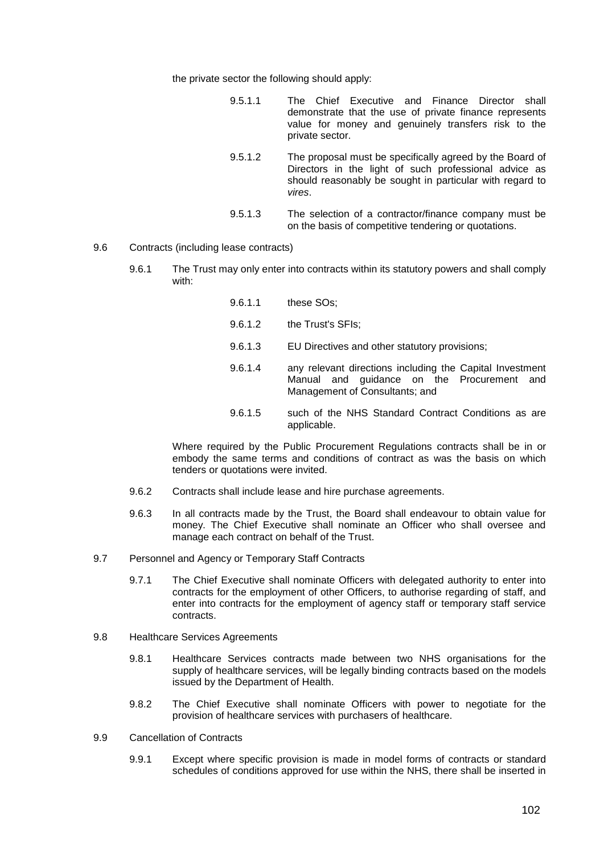the private sector the following should apply:

| 9.5.1.1 |                 |  |  | The Chief Executive and Finance Director shall         |  |
|---------|-----------------|--|--|--------------------------------------------------------|--|
|         |                 |  |  | demonstrate that the use of private finance represents |  |
|         |                 |  |  | value for money and genuinely transfers risk to the    |  |
|         | private sector. |  |  |                                                        |  |

- 9.5.1.2 The proposal must be specifically agreed by the Board of Directors in the light of such professional advice as should reasonably be sought in particular with regard to *vires*.
- 9.5.1.3 The selection of a contractor/finance company must be on the basis of competitive tendering or quotations.
- 9.6 Contracts (including lease contracts)
	- 9.6.1 The Trust may only enter into contracts within its statutory powers and shall comply with:
		- 9.6.1.1 these SOs; 9.6.1.2 the Trust's SFIs; 9.6.1.3 EU Directives and other statutory provisions; 9.6.1.4 any relevant directions including the Capital Investment Manual and guidance on the Procurement and Management of Consultants; and
			- 9.6.1.5 such of the NHS Standard Contract Conditions as are applicable.

Where required by the Public Procurement Regulations contracts shall be in or embody the same terms and conditions of contract as was the basis on which tenders or quotations were invited.

- 9.6.2 Contracts shall include lease and hire purchase agreements.
- 9.6.3 In all contracts made by the Trust, the Board shall endeavour to obtain value for money. The Chief Executive shall nominate an Officer who shall oversee and manage each contract on behalf of the Trust.
- 9.7 Personnel and Agency or Temporary Staff Contracts
	- 9.7.1 The Chief Executive shall nominate Officers with delegated authority to enter into contracts for the employment of other Officers, to authorise regarding of staff, and enter into contracts for the employment of agency staff or temporary staff service contracts.
- 9.8 Healthcare Services Agreements
	- 9.8.1 Healthcare Services contracts made between two NHS organisations for the supply of healthcare services, will be legally binding contracts based on the models issued by the Department of Health.
	- 9.8.2 The Chief Executive shall nominate Officers with power to negotiate for the provision of healthcare services with purchasers of healthcare.
- 9.9 Cancellation of Contracts
	- 9.9.1 Except where specific provision is made in model forms of contracts or standard schedules of conditions approved for use within the NHS, there shall be inserted in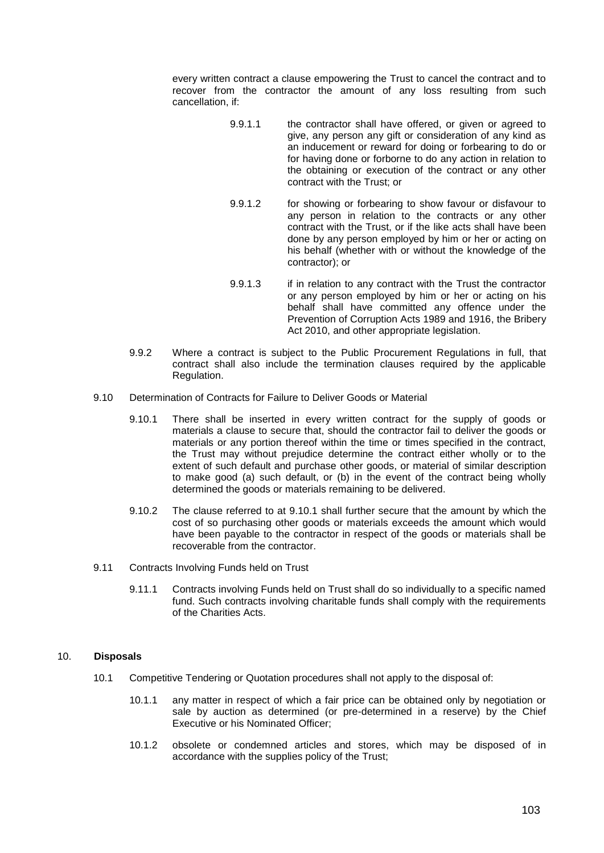every written contract a clause empowering the Trust to cancel the contract and to recover from the contractor the amount of any loss resulting from such cancellation, if:

- 9.9.1.1 the contractor shall have offered, or given or agreed to give, any person any gift or consideration of any kind as an inducement or reward for doing or forbearing to do or for having done or forborne to do any action in relation to the obtaining or execution of the contract or any other contract with the Trust; or
- 9.9.1.2 for showing or forbearing to show favour or disfavour to any person in relation to the contracts or any other contract with the Trust, or if the like acts shall have been done by any person employed by him or her or acting on his behalf (whether with or without the knowledge of the contractor); or
- 9.9.1.3 if in relation to any contract with the Trust the contractor or any person employed by him or her or acting on his behalf shall have committed any offence under the Prevention of Corruption Acts 1989 and 1916, the Bribery Act 2010, and other appropriate legislation.
- 9.9.2 Where a contract is subject to the Public Procurement Regulations in full, that contract shall also include the termination clauses required by the applicable Regulation.
- 9.10 Determination of Contracts for Failure to Deliver Goods or Material
	- 9.10.1 There shall be inserted in every written contract for the supply of goods or materials a clause to secure that, should the contractor fail to deliver the goods or materials or any portion thereof within the time or times specified in the contract, the Trust may without prejudice determine the contract either wholly or to the extent of such default and purchase other goods, or material of similar description to make good (a) such default, or (b) in the event of the contract being wholly determined the goods or materials remaining to be delivered.
	- 9.10.2 The clause referred to at 9.10.1 shall further secure that the amount by which the cost of so purchasing other goods or materials exceeds the amount which would have been payable to the contractor in respect of the goods or materials shall be recoverable from the contractor.
- 9.11 Contracts Involving Funds held on Trust
	- 9.11.1 Contracts involving Funds held on Trust shall do so individually to a specific named fund. Such contracts involving charitable funds shall comply with the requirements of the Charities Acts.

## 10. **Disposals**

- 10.1 Competitive Tendering or Quotation procedures shall not apply to the disposal of:
	- 10.1.1 any matter in respect of which a fair price can be obtained only by negotiation or sale by auction as determined (or pre-determined in a reserve) by the Chief Executive or his Nominated Officer;
	- 10.1.2 obsolete or condemned articles and stores, which may be disposed of in accordance with the supplies policy of the Trust;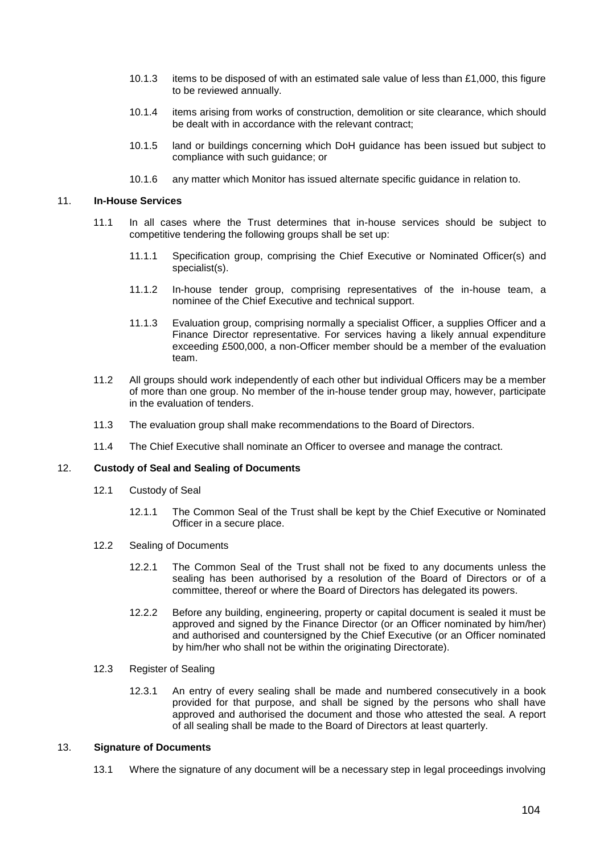- 10.1.3 items to be disposed of with an estimated sale value of less than £1,000, this figure to be reviewed annually.
- 10.1.4 items arising from works of construction, demolition or site clearance, which should be dealt with in accordance with the relevant contract;
- 10.1.5 land or buildings concerning which DoH guidance has been issued but subject to compliance with such guidance; or
- 10.1.6 any matter which Monitor has issued alternate specific guidance in relation to.

### 11. **In-House Services**

- 11.1 In all cases where the Trust determines that in-house services should be subject to competitive tendering the following groups shall be set up:
	- 11.1.1 Specification group, comprising the Chief Executive or Nominated Officer(s) and specialist(s).
	- 11.1.2 In-house tender group, comprising representatives of the in-house team, a nominee of the Chief Executive and technical support.
	- 11.1.3 Evaluation group, comprising normally a specialist Officer, a supplies Officer and a Finance Director representative. For services having a likely annual expenditure exceeding £500,000, a non-Officer member should be a member of the evaluation team.
- 11.2 All groups should work independently of each other but individual Officers may be a member of more than one group. No member of the in-house tender group may, however, participate in the evaluation of tenders.
- 11.3 The evaluation group shall make recommendations to the Board of Directors.
- 11.4 The Chief Executive shall nominate an Officer to oversee and manage the contract.

# 12. **Custody of Seal and Sealing of Documents**

- 12.1 Custody of Seal
	- 12.1.1 The Common Seal of the Trust shall be kept by the Chief Executive or Nominated Officer in a secure place.
- 12.2 Sealing of Documents
	- 12.2.1 The Common Seal of the Trust shall not be fixed to any documents unless the sealing has been authorised by a resolution of the Board of Directors or of a committee, thereof or where the Board of Directors has delegated its powers.
	- 12.2.2 Before any building, engineering, property or capital document is sealed it must be approved and signed by the Finance Director (or an Officer nominated by him/her) and authorised and countersigned by the Chief Executive (or an Officer nominated by him/her who shall not be within the originating Directorate).

# 12.3 Register of Sealing

12.3.1 An entry of every sealing shall be made and numbered consecutively in a book provided for that purpose, and shall be signed by the persons who shall have approved and authorised the document and those who attested the seal. A report of all sealing shall be made to the Board of Directors at least quarterly.

#### 13. **Signature of Documents**

13.1 Where the signature of any document will be a necessary step in legal proceedings involving